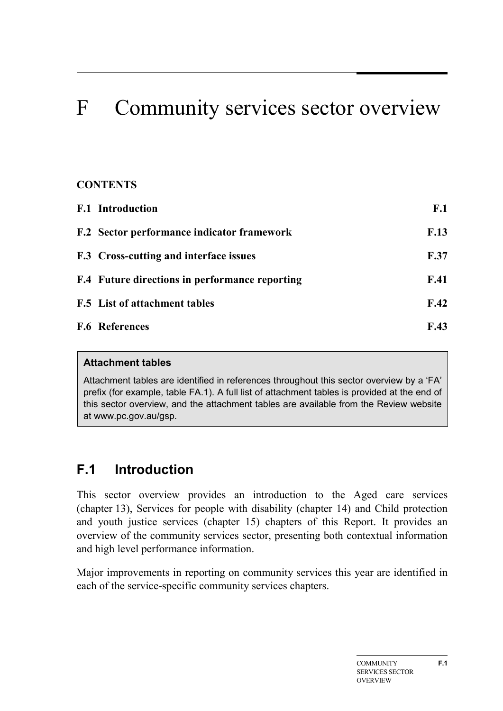# F Community services sector overview

# **CONTENTS**

| <b>F.1</b> Introduction                               | F.1         |
|-------------------------------------------------------|-------------|
| <b>F.2</b> Sector performance indicator framework     | F.13        |
| <b>F.3</b> Cross-cutting and interface issues         | <b>F.37</b> |
| <b>F.4</b> Future directions in performance reporting | F.41        |
| <b>F.5</b> List of attachment tables                  | F.42        |
| <b>F.6 References</b>                                 | F.43        |

#### **Attachment tables**

Attachment tables are identified in references throughout this sector overview by a 'FA' prefix (for example, table FA.1). A full list of attachment tables is provided at the end of this sector overview, and the attachment tables are available from the Review website at www.pc.gov.au/gsp.

# <span id="page-0-0"></span>**F.1 Introduction**

This sector overview provides an introduction to the Aged care services (chapter 13), Services for people with disability (chapter 14) and Child protection and youth justice services (chapter 15) chapters of this Report. It provides an overview of the community services sector, presenting both contextual information and high level performance information.

Major improvements in reporting on community services this year are identified in each of the service-specific community services chapters.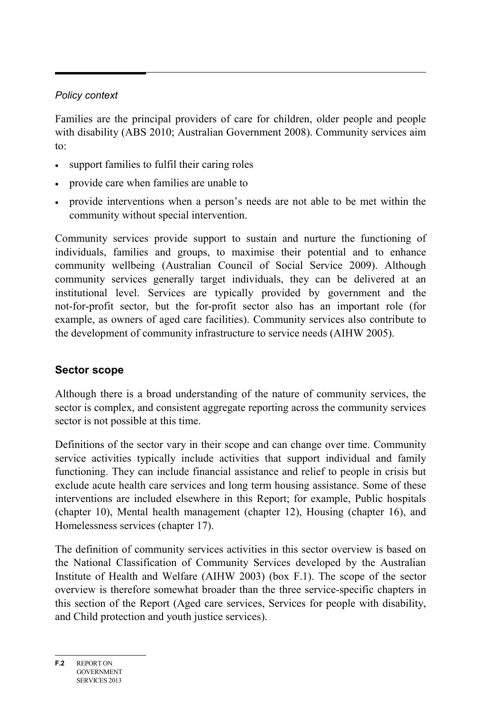## *Policy context*

Families are the principal providers of care for children, older people and people with disability (ABS 2010; Australian Government 2008). Community services aim to:

- support families to fulfil their caring roles
- provide care when families are unable to
- provide interventions when a person's needs are not able to be met within the community without special intervention.

Community services provide support to sustain and nurture the functioning of individuals, families and groups, to maximise their potential and to enhance community wellbeing (Australian Council of Social Service 2009). Although community services generally target individuals, they can be delivered at an institutional level. Services are typically provided by government and the not-for-profit sector, but the for-profit sector also has an important role (for example, as owners of aged care facilities). Community services also contribute to the development of community infrastructure to service needs (AIHW 2005).

# **Sector scope**

Although there is a broad understanding of the nature of community services, the sector is complex, and consistent aggregate reporting across the community services sector is not possible at this time.

Definitions of the sector vary in their scope and can change over time. Community service activities typically include activities that support individual and family functioning. They can include financial assistance and relief to people in crisis but exclude acute health care services and long term housing assistance. Some of these interventions are included elsewhere in this Report; for example, Public hospitals (chapter 10), Mental health management (chapter 12), Housing (chapter 16), and Homelessness services (chapter 17).

The definition of community services activities in this sector overview is based on the National Classification of Community Services developed by the Australian Institute of Health and Welfare (AIHW 2003) (box F.1). The scope of the sector overview is therefore somewhat broader than the three service-specific chapters in this section of the Report (Aged care services, Services for people with disability, and Child protection and youth justice services).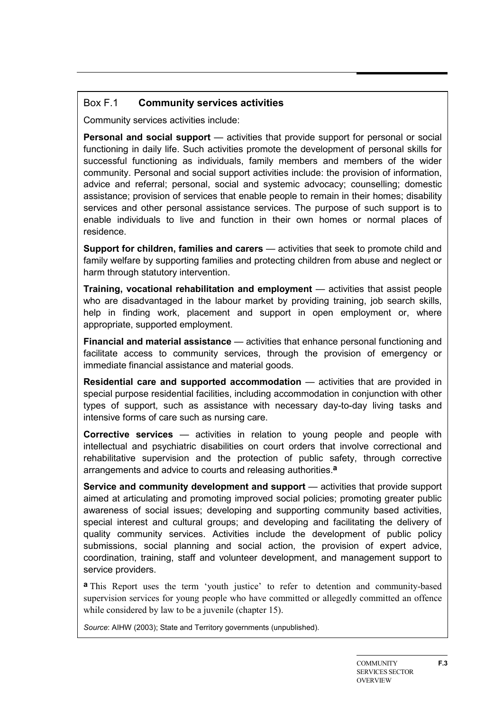#### Box F.1 **Community services activities**

Community services activities include:

**Personal and social support** — activities that provide support for personal or social functioning in daily life. Such activities promote the development of personal skills for successful functioning as individuals, family members and members of the wider community. Personal and social support activities include: the provision of information, advice and referral; personal, social and systemic advocacy; counselling; domestic assistance; provision of services that enable people to remain in their homes; disability services and other personal assistance services. The purpose of such support is to enable individuals to live and function in their own homes or normal places of residence.

**Support for children, families and carers** — activities that seek to promote child and family welfare by supporting families and protecting children from abuse and neglect or harm through statutory intervention.

**Training, vocational rehabilitation and employment** — activities that assist people who are disadvantaged in the labour market by providing training, job search skills, help in finding work, placement and support in open employment or, where appropriate, supported employment.

**Financial and material assistance** — activities that enhance personal functioning and facilitate access to community services, through the provision of emergency or immediate financial assistance and material goods.

**Residential care and supported accommodation** — activities that are provided in special purpose residential facilities, including accommodation in conjunction with other types of support, such as assistance with necessary day-to-day living tasks and intensive forms of care such as nursing care.

**Corrective services** — activities in relation to young people and people with intellectual and psychiatric disabilities on court orders that involve correctional and rehabilitative supervision and the protection of public safety, through corrective arrangements and advice to courts and releasing authorities.**a**

**Service and community development and support** — activities that provide support aimed at articulating and promoting improved social policies; promoting greater public awareness of social issues; developing and supporting community based activities, special interest and cultural groups; and developing and facilitating the delivery of quality community services. Activities include the development of public policy submissions, social planning and social action, the provision of expert advice, coordination, training, staff and volunteer development, and management support to service providers.

**a** This Report uses the term 'youth justice' to refer to detention and community-based supervision services for young people who have committed or allegedly committed an offence while considered by law to be a juvenile (chapter 15).

*Source*: AIHW (2003); State and Territory governments (unpublished).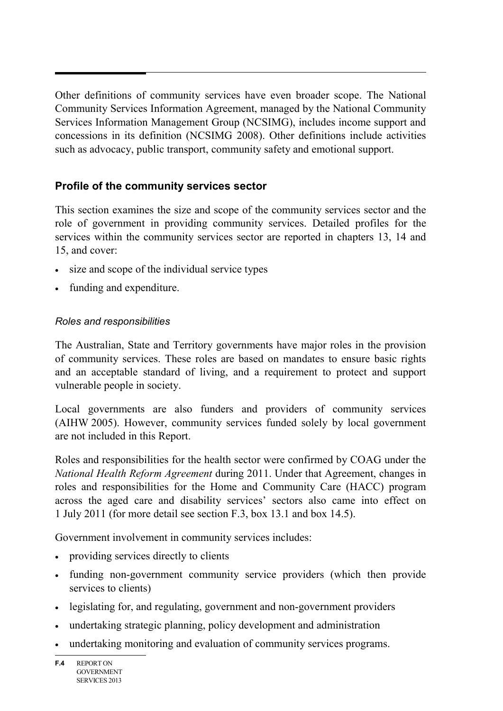Other definitions of community services have even broader scope. The National Community Services Information Agreement, managed by the National Community Services Information Management Group (NCSIMG), includes income support and concessions in its definition (NCSIMG 2008). Other definitions include activities such as advocacy, public transport, community safety and emotional support.

# **Profile of the community services sector**

This section examines the size and scope of the community services sector and the role of government in providing community services. Detailed profiles for the services within the community services sector are reported in chapters 13, 14 and 15, and cover:

- size and scope of the individual service types
- funding and expenditure.

#### *Roles and responsibilities*

The Australian, State and Territory governments have major roles in the provision of community services. These roles are based on mandates to ensure basic rights and an acceptable standard of living, and a requirement to protect and support vulnerable people in society.

Local governments are also funders and providers of community services (AIHW 2005). However, community services funded solely by local government are not included in this Report.

Roles and responsibilities for the health sector were confirmed by COAG under the *National Health Reform Agreement* during 2011. Under that Agreement, changes in roles and responsibilities for the Home and Community Care (HACC) program across the aged care and disability services' sectors also came into effect on 1 July 2011 (for more detail see section F.3, box 13.1 and box 14.5).

Government involvement in community services includes:

- providing services directly to clients
- funding non-government community service providers (which then provide services to clients)
- legislating for, and regulating, government and non-government providers
- undertaking strategic planning, policy development and administration
- undertaking monitoring and evaluation of community services programs.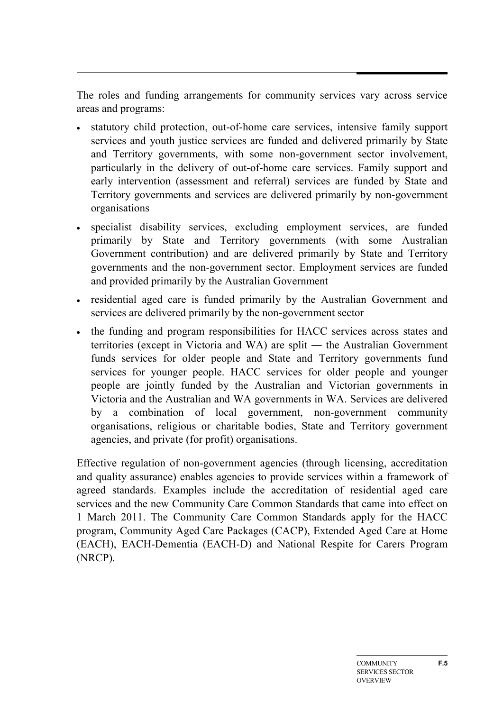The roles and funding arrangements for community services vary across service areas and programs:

- statutory child protection, out-of-home care services, intensive family support services and youth justice services are funded and delivered primarily by State and Territory governments, with some non-government sector involvement, particularly in the delivery of out-of-home care services. Family support and early intervention (assessment and referral) services are funded by State and Territory governments and services are delivered primarily by non-government organisations
- specialist disability services, excluding employment services, are funded primarily by State and Territory governments (with some Australian Government contribution) and are delivered primarily by State and Territory governments and the non-government sector. Employment services are funded and provided primarily by the Australian Government
- residential aged care is funded primarily by the Australian Government and services are delivered primarily by the non-government sector
- the funding and program responsibilities for HACC services across states and territories (except in Victoria and WA) are split ― the Australian Government funds services for older people and State and Territory governments fund services for younger people. HACC services for older people and younger people are jointly funded by the Australian and Victorian governments in Victoria and the Australian and WA governments in WA. Services are delivered by a combination of local government, non-government community organisations, religious or charitable bodies, State and Territory government agencies, and private (for profit) organisations.

Effective regulation of non-government agencies (through licensing, accreditation and quality assurance) enables agencies to provide services within a framework of agreed standards. Examples include the accreditation of residential aged care services and the new Community Care Common Standards that came into effect on 1 March 2011. The Community Care Common Standards apply for the HACC program, Community Aged Care Packages (CACP), Extended Aged Care at Home (EACH), EACH-Dementia (EACH-D) and National Respite for Carers Program (NRCP).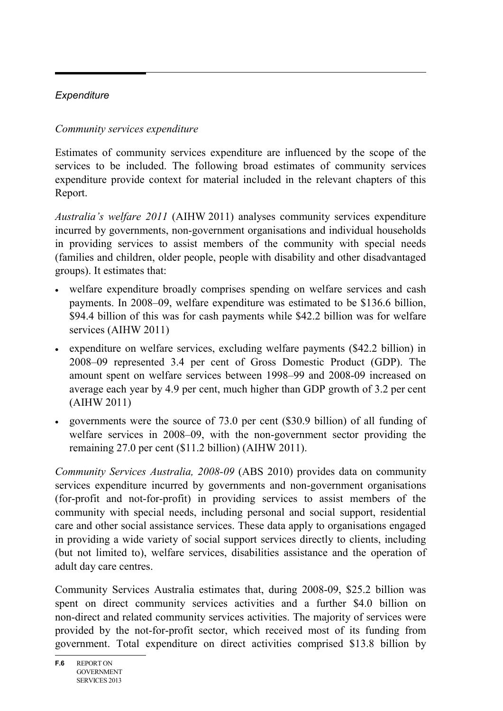# *Expenditure*

# *Community services expenditure*

Estimates of community services expenditure are influenced by the scope of the services to be included. The following broad estimates of community services expenditure provide context for material included in the relevant chapters of this Report.

*Australia's welfare 2011* (AIHW 2011) analyses community services expenditure incurred by governments, non-government organisations and individual households in providing services to assist members of the community with special needs (families and children, older people, people with disability and other disadvantaged groups). It estimates that:

- welfare expenditure broadly comprises spending on welfare services and cash payments. In 2008–09, welfare expenditure was estimated to be \$136.6 billion, \$94.4 billion of this was for cash payments while \$42.2 billion was for welfare services (AIHW 2011)
- expenditure on welfare services, excluding welfare payments (\$42.2 billion) in 2008–09 represented 3.4 per cent of Gross Domestic Product (GDP). The amount spent on welfare services between 1998–99 and 2008-09 increased on average each year by 4.9 per cent, much higher than GDP growth of 3.2 per cent (AIHW 2011)
- governments were the source of 73.0 per cent (\$30.9 billion) of all funding of welfare services in 2008–09, with the non-government sector providing the remaining 27.0 per cent (\$11.2 billion) (AIHW 2011).

*Community Services Australia, 2008-09* (ABS 2010) provides data on community services expenditure incurred by governments and non-government organisations (for-profit and not-for-profit) in providing services to assist members of the community with special needs, including personal and social support, residential care and other social assistance services. These data apply to organisations engaged in providing a wide variety of social support services directly to clients, including (but not limited to), welfare services, disabilities assistance and the operation of adult day care centres.

Community Services Australia estimates that, during 2008-09, \$25.2 billion was spent on direct community services activities and a further \$4.0 billion on non-direct and related community services activities. The majority of services were provided by the not-for-profit sector, which received most of its funding from government. Total expenditure on direct activities comprised \$13.8 billion by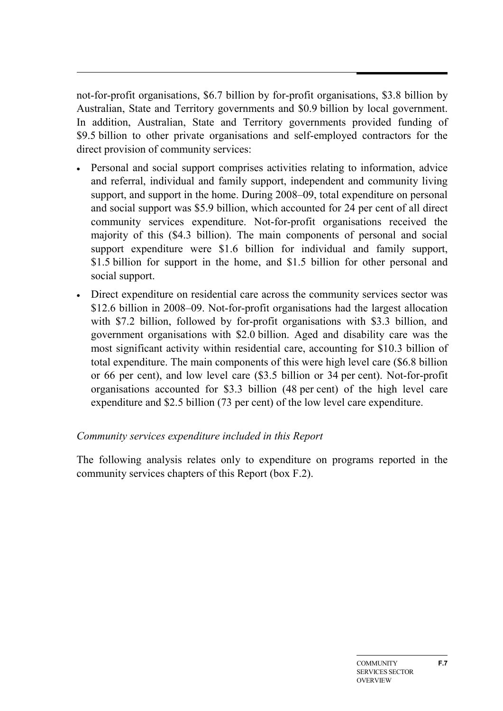not-for-profit organisations, \$6.7 billion by for-profit organisations, \$3.8 billion by Australian, State and Territory governments and \$0.9 billion by local government. In addition, Australian, State and Territory governments provided funding of \$9.5 billion to other private organisations and self-employed contractors for the direct provision of community services:

- Personal and social support comprises activities relating to information, advice and referral, individual and family support, independent and community living support, and support in the home. During 2008–09, total expenditure on personal and social support was \$5.9 billion, which accounted for 24 per cent of all direct community services expenditure. Not-for-profit organisations received the majority of this (\$4.3 billion). The main components of personal and social support expenditure were \$1.6 billion for individual and family support, \$1.5 billion for support in the home, and \$1.5 billion for other personal and social support.
- Direct expenditure on residential care across the community services sector was \$12.6 billion in 2008–09. Not-for-profit organisations had the largest allocation with \$7.2 billion, followed by for-profit organisations with \$3.3 billion, and government organisations with \$2.0 billion. Aged and disability care was the most significant activity within residential care, accounting for \$10.3 billion of total expenditure. The main components of this were high level care (\$6.8 billion or 66 per cent), and low level care (\$3.5 billion or 34 per cent). Not-for-profit organisations accounted for \$3.3 billion (48 per cent) of the high level care expenditure and \$2.5 billion (73 per cent) of the low level care expenditure.

#### *Community services expenditure included in this Report*

The following analysis relates only to expenditure on programs reported in the community services chapters of this Report (box F.2).

**F.7**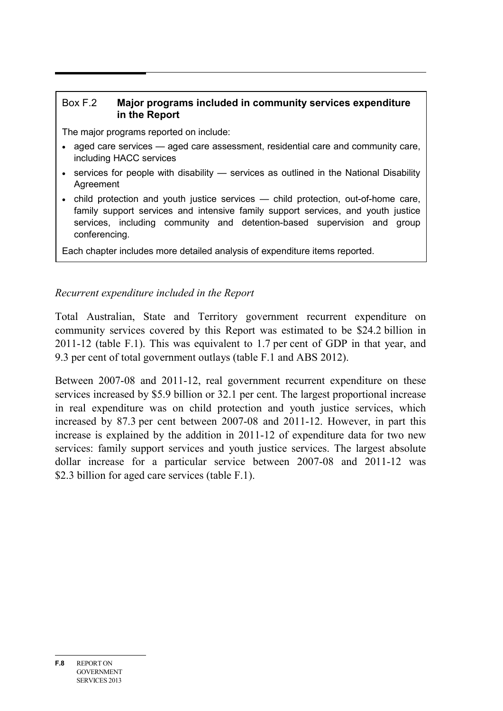#### Box F.2 **Major programs included in community services expenditure in the Report**

The major programs reported on include:

- aged care services aged care assessment, residential care and community care, including HACC services
- services for people with disability services as outlined in the National Disability Agreement
- child protection and youth justice services child protection, out-of-home care, family support services and intensive family support services, and youth justice services, including community and detention-based supervision and group conferencing.

Each chapter includes more detailed analysis of expenditure items reported.

## *Recurrent expenditure included in the Report*

Total Australian, State and Territory government recurrent expenditure on community services covered by this Report was estimated to be \$24.2 billion in 2011-12 (table F.1). This was equivalent to 1.7 per cent of GDP in that year, and 9.3 per cent of total government outlays (table F.1 and ABS 2012).

Between 2007-08 and 2011-12, real government recurrent expenditure on these services increased by \$5.9 billion or 32.1 per cent. The largest proportional increase in real expenditure was on child protection and youth justice services, which increased by 87.3 per cent between 2007-08 and 2011-12. However, in part this increase is explained by the addition in 2011-12 of expenditure data for two new services: family support services and youth justice services. The largest absolute dollar increase for a particular service between 2007-08 and 2011-12 was \$2.3 billion for aged care services (table F.1).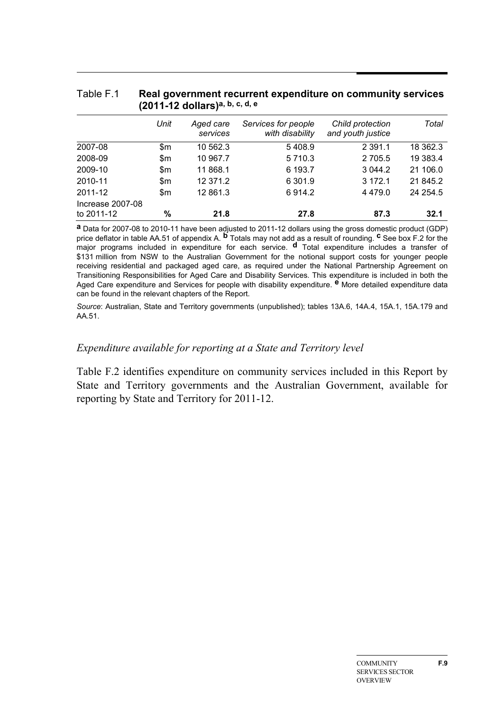|                                |      | (2011-12 dollars) <sup>a, b, c, d, e</sup> |                                        |                                       |          |
|--------------------------------|------|--------------------------------------------|----------------------------------------|---------------------------------------|----------|
|                                | Unit | Aged care<br>services                      | Services for people<br>with disability | Child protection<br>and youth justice | Total    |
| 2007-08                        | \$m  | 10 562.3                                   | 5408.9                                 | 2 3 9 1 . 1                           | 18 362.3 |
| 2008-09                        | \$m  | 10 967.7                                   | 5 7 1 0 . 3                            | 2 7 0 5.5                             | 19 383.4 |
| 2009-10                        | \$m  | 11 868.1                                   | 6 193.7                                | 3 0 4 4 .2                            | 21 106.0 |
| 2010-11                        | \$m  | 12 371.2                                   | 6 301.9                                | 3 172.1                               | 21 845.2 |
| 2011-12                        | \$m  | 12 861.3                                   | 6914.2                                 | 4 4 7 9 .0                            | 24 254.5 |
| Increase 2007-08<br>to 2011-12 | %    | 21.8                                       | 27.8                                   | 87.3                                  | 32.1     |

# Table F.1 **Real government recurrent expenditure on community services**

**a** Data for 2007-08 to 2010-11 have been adjusted to 2011-12 dollars using the gross domestic product (GDP) price deflator in table AA.51 of appendix A. **b** Totals may not add as a result of rounding. **c** See box F.2 for the major programs included in expenditure for each service. **d** Total expenditure includes a transfer of \$131 million from NSW to the Australian Government for the notional support costs for younger people receiving residential and packaged aged care, as required under the National Partnership Agreement on Transitioning Responsibilities for Aged Care and Disability Services. This expenditure is included in both the Aged Care expenditure and Services for people with disability expenditure. **e** More detailed expenditure data can be found in the relevant chapters of the Report.

*Source*: Australian, State and Territory governments (unpublished); tables 13A.6, 14A.4, 15A.1, 15A.179 and AA.51.

#### *Expenditure available for reporting at a State and Territory level*

Table F.2 identifies expenditure on community services included in this Report by State and Territory governments and the Australian Government, available for reporting by State and Territory for 2011-12.

**F.9**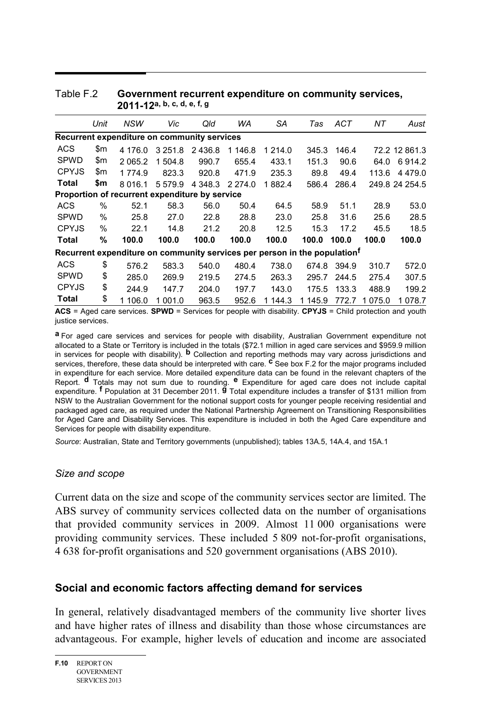|                                                                                       | Unit | NSW                                            | Vic         | Qld         | WA         | SA      | Tas     | ACT   | NΤ      | Aust           |  |  |  |
|---------------------------------------------------------------------------------------|------|------------------------------------------------|-------------|-------------|------------|---------|---------|-------|---------|----------------|--|--|--|
|                                                                                       |      | Recurrent expenditure on community services    |             |             |            |         |         |       |         |                |  |  |  |
| <b>ACS</b>                                                                            | \$m  | 4 176.0                                        | 3 2 5 1 . 8 | 2436.8      | 1 146.8    | 1 214.0 | 345.3   | 146.4 |         | 72.2 12 861.3  |  |  |  |
| <b>SPWD</b>                                                                           | \$m  | 2 0 6 5 .2                                     | 1 504.8     | 990.7       | 655.4      | 433.1   | 151.3   | 90.6  | 64.0    | 6914.2         |  |  |  |
| <b>CPYJS</b>                                                                          | \$m  | 1774.9                                         | 823.3       | 920.8       | 471.9      | 235.3   | 89.8    | 49.4  | 113.6   | 4 4 7 9 .0     |  |  |  |
| Total                                                                                 | \$m  | 8 0 1 6 . 1                                    | 5 5 7 9 . 9 | 4 3 4 8 . 3 | 2 2 7 4 .0 | 1882.4  | 586.4   | 286.4 |         | 249.8 24 254.5 |  |  |  |
|                                                                                       |      | Proportion of recurrent expenditure by service |             |             |            |         |         |       |         |                |  |  |  |
| <b>ACS</b>                                                                            | $\%$ | 52.1                                           | 58.3        | 56.0        | 50.4       | 64.5    | 58.9    | 51.1  | 28.9    | 53.0           |  |  |  |
| <b>SPWD</b>                                                                           | %    | 25.8                                           | 27.0        | 22.8        | 28.8       | 23.0    | 25.8    | 31.6  | 25.6    | 28.5           |  |  |  |
| <b>CPYJS</b>                                                                          | %    | 22.1                                           | 14.8        | 21.2        | 20.8       | 12.5    | 15.3    | 17.2  | 45.5    | 18.5           |  |  |  |
| <b>Total</b>                                                                          | %    | 100.0                                          | 100.0       | 100.0       | 100.0      | 100.0   | 100.0   | 100.0 | 100.0   | 100.0          |  |  |  |
| Recurrent expenditure on community services per person in the population <sup>t</sup> |      |                                                |             |             |            |         |         |       |         |                |  |  |  |
| <b>ACS</b>                                                                            | \$   | 576.2                                          | 583.3       | 540.0       | 480.4      | 738.0   | 674.8   | 394.9 | 310.7   | 572.0          |  |  |  |
| <b>SPWD</b>                                                                           | \$   | 285.0                                          | 269.9       | 219.5       | 274.5      | 263.3   | 295.7   | 244.5 | 275.4   | 307.5          |  |  |  |
| <b>CPYJS</b>                                                                          | \$   | 244.9                                          | 147.7       | 204.0       | 197.7      | 143.0   | 175.5   | 133.3 | 488.9   | 199.2          |  |  |  |
| Total                                                                                 | \$   | 1 106.0                                        | 1 001.0     | 963.5       | 952.6      | 1 144.3 | 1 145.9 | 772.7 | 1 075.0 | 1 078.7        |  |  |  |

#### Table F.2 **Government recurrent expenditure on community services, 2011-12a, b, c, d, e, f, g**

**ACS** = Aged care services. **SPWD** = Services for people with disability. **CPYJS** = Child protection and youth justice services.

**a** For aged care services and services for people with disability, Australian Government expenditure not allocated to a State or Territory is included in the totals (\$72.1 million in aged care services and \$959.9 million in services for people with disability). **b** Collection and reporting methods may vary across jurisdictions and services, therefore, these data should be interpreted with care. **c** See box F.2 for the major programs included in expenditure for each service. More detailed expenditure data can be found in the relevant chapters of the Report. **d** Totals may not sum due to rounding. **e** Expenditure for aged care does not include capital expenditure. **f** Population at 31 December 2011. **g** Total expenditure includes a transfer of \$131 million from NSW to the Australian Government for the notional support costs for younger people receiving residential and packaged aged care, as required under the National Partnership Agreement on Transitioning Responsibilities for Aged Care and Disability Services. This expenditure is included in both the Aged Care expenditure and Services for people with disability expenditure.

*Source*: Australian, State and Territory governments (unpublished); tables 13A.5, 14A.4, and 15A.1

#### *Size and scope*

Current data on the size and scope of the community services sector are limited. The ABS survey of community services collected data on the number of organisations that provided community services in 2009. Almost 11 000 organisations were providing community services. These included 5 809 not-for-profit organisations, 4 638 for-profit organisations and 520 government organisations (ABS 2010).

#### **Social and economic factors affecting demand for services**

In general, relatively disadvantaged members of the community live shorter lives and have higher rates of illness and disability than those whose circumstances are advantageous. For example, higher levels of education and income are associated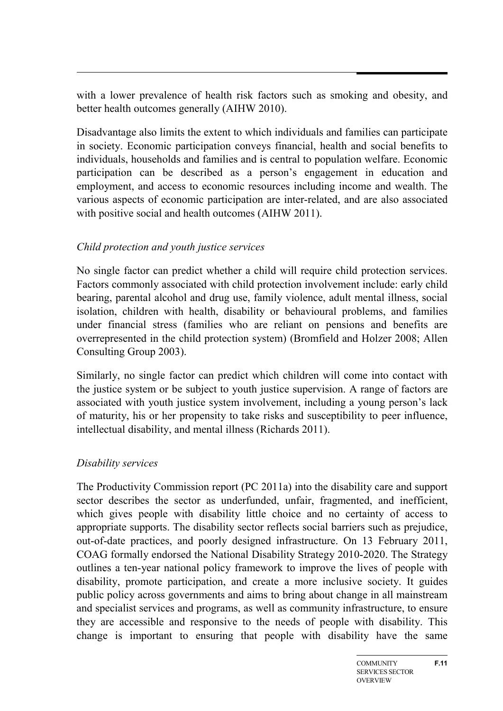with a lower prevalence of health risk factors such as smoking and obesity, and better health outcomes generally (AIHW 2010).

Disadvantage also limits the extent to which individuals and families can participate in society. Economic participation conveys financial, health and social benefits to individuals, households and families and is central to population welfare. Economic participation can be described as a person's engagement in education and employment, and access to economic resources including income and wealth. The various aspects of economic participation are inter-related, and are also associated with positive social and health outcomes (AIHW 2011).

## *Child protection and youth justice services*

No single factor can predict whether a child will require child protection services. Factors commonly associated with child protection involvement include: early child bearing, parental alcohol and drug use, family violence, adult mental illness, social isolation, children with health, disability or behavioural problems, and families under financial stress (families who are reliant on pensions and benefits are overrepresented in the child protection system) (Bromfield and Holzer 2008; Allen Consulting Group 2003).

Similarly, no single factor can predict which children will come into contact with the justice system or be subject to youth justice supervision. A range of factors are associated with youth justice system involvement, including a young person's lack of maturity, his or her propensity to take risks and susceptibility to peer influence, intellectual disability, and mental illness (Richards 2011).

## *Disability services*

The Productivity Commission report (PC 2011a) into the disability care and support sector describes the sector as underfunded, unfair, fragmented, and inefficient, which gives people with disability little choice and no certainty of access to appropriate supports. The disability sector reflects social barriers such as prejudice, out-of-date practices, and poorly designed infrastructure. On 13 February 2011, COAG formally endorsed the National Disability Strategy 2010-2020. The Strategy outlines a ten-year national policy framework to improve the lives of people with disability, promote participation, and create a more inclusive society. It guides public policy across governments and aims to bring about change in all mainstream and specialist services and programs, as well as community infrastructure, to ensure they are accessible and responsive to the needs of people with disability. This change is important to ensuring that people with disability have the same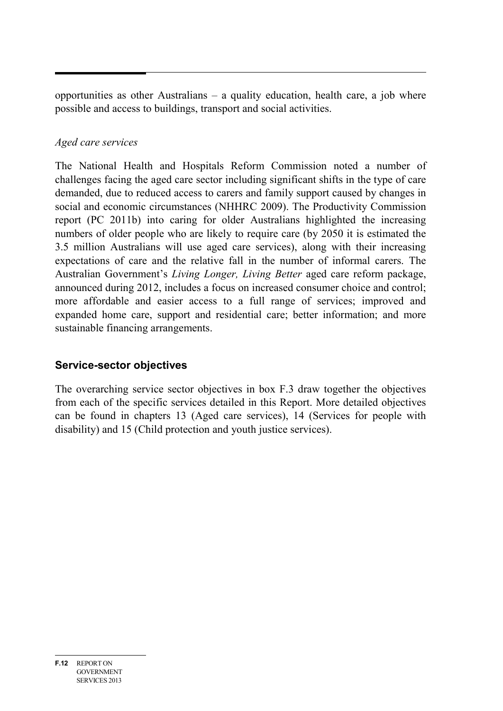opportunities as other Australians – a quality education, health care, a job where possible and access to buildings, transport and social activities.

# *Aged care services*

The National Health and Hospitals Reform Commission noted a number of challenges facing the aged care sector including significant shifts in the type of care demanded, due to reduced access to carers and family support caused by changes in social and economic circumstances (NHHRC 2009). The Productivity Commission report (PC 2011b) into caring for older Australians highlighted the increasing numbers of older people who are likely to require care (by 2050 it is estimated the 3.5 million Australians will use aged care services), along with their increasing expectations of care and the relative fall in the number of informal carers. The Australian Government's *Living Longer, Living Better* aged care reform package, announced during 2012, includes a focus on increased consumer choice and control; more affordable and easier access to a full range of services; improved and expanded home care, support and residential care; better information; and more sustainable financing arrangements.

# **Service-sector objectives**

The overarching service sector objectives in box F.3 draw together the objectives from each of the specific services detailed in this Report. More detailed objectives can be found in chapters 13 (Aged care services), 14 (Services for people with disability) and 15 (Child protection and youth justice services).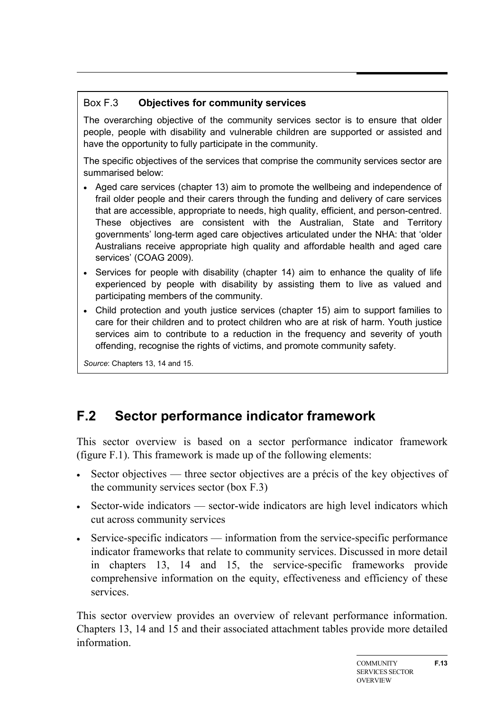# Box F.3 **Objectives for community services**

The overarching objective of the community services sector is to ensure that older people, people with disability and vulnerable children are supported or assisted and have the opportunity to fully participate in the community.

The specific objectives of the services that comprise the community services sector are summarised below:

- Aged care services (chapter 13) aim to promote the wellbeing and independence of frail older people and their carers through the funding and delivery of care services that are accessible, appropriate to needs, high quality, efficient, and person-centred. These objectives are consistent with the Australian, State and Territory governments' long-term aged care objectives articulated under the NHA: that 'older Australians receive appropriate high quality and affordable health and aged care services' (COAG 2009).
- Services for people with disability (chapter 14) aim to enhance the quality of life experienced by people with disability by assisting them to live as valued and participating members of the community.
- Child protection and youth justice services (chapter 15) aim to support families to care for their children and to protect children who are at risk of harm. Youth justice services aim to contribute to a reduction in the frequency and severity of youth offending, recognise the rights of victims, and promote community safety.

<span id="page-12-0"></span>*Source*: Chapters 13, 14 and 15.

# **F.2 Sector performance indicator framework**

This sector overview is based on a sector performance indicator framework (figure F.1). This framework is made up of the following elements:

- Sector objectives three sector objectives are a précis of the key objectives of the community services sector (box F.3)
- Sector-wide indicators sector-wide indicators are high level indicators which cut across community services
- Service-specific indicators information from the service-specific performance indicator frameworks that relate to community services. Discussed in more detail in chapters 13, 14 and 15, the service-specific frameworks provide comprehensive information on the equity, effectiveness and efficiency of these services.

This sector overview provides an overview of relevant performance information. Chapters 13, 14 and 15 and their associated attachment tables provide more detailed information.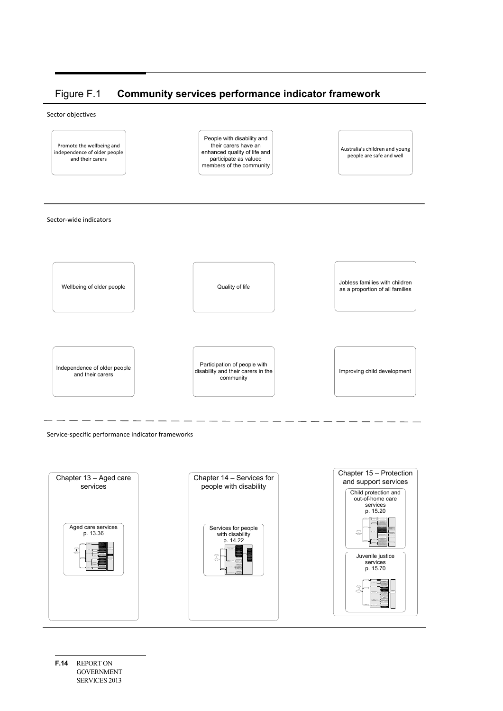#### Figure F.1 **Community services performance indicator framework**

Sector objectives



Service-specific performance indicator frameworks



**F.14** REPORT ON GOVERNMENT SERVICES 2013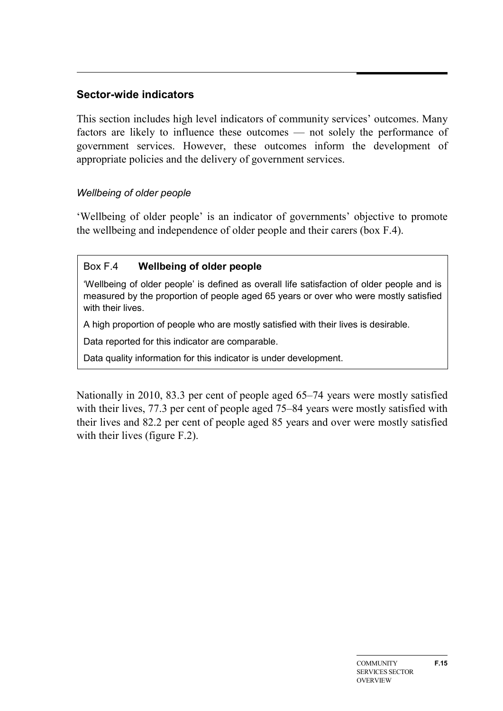# **Sector-wide indicators**

This section includes high level indicators of community services' outcomes. Many factors are likely to influence these outcomes — not solely the performance of government services. However, these outcomes inform the development of appropriate policies and the delivery of government services.

#### *Wellbeing of older people*

'Wellbeing of older people' is an indicator of governments' objective to promote the wellbeing and independence of older people and their carers (box F.4).

#### Box F.4 **Wellbeing of older people**

'Wellbeing of older people' is defined as overall life satisfaction of older people and is measured by the proportion of people aged 65 years or over who were mostly satisfied with their lives.

A high proportion of people who are mostly satisfied with their lives is desirable.

Data reported for this indicator are comparable.

Data quality information for this indicator is under development.

Nationally in 2010, 83.3 per cent of people aged 65–74 years were mostly satisfied with their lives, 77.3 per cent of people aged 75–84 years were mostly satisfied with their lives and 82.2 per cent of people aged 85 years and over were mostly satisfied with their lives (figure F.2).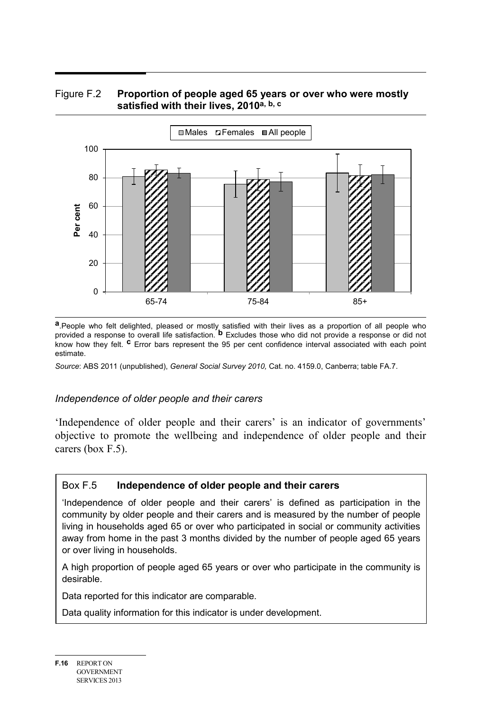



**a**.People who felt delighted, pleased or mostly satisfied with their lives as a proportion of all people who provided a response to overall life satisfaction. **b** Excludes those who did not provide a response or did not know how they felt. **c** Error bars represent the 95 per cent confidence interval associated with each point estimate.

*Source*: ABS 2011 (unpublished), *General Social Survey 2010,* Cat. no. 4159.0, Canberra; table FA.7.

#### *Independence of older people and their carers*

'Independence of older people and their carers' is an indicator of governments' objective to promote the wellbeing and independence of older people and their carers (box F.5).

#### Box F.5 **Independence of older people and their carers**

'Independence of older people and their carers' is defined as participation in the community by older people and their carers and is measured by the number of people living in households aged 65 or over who participated in social or community activities away from home in the past 3 months divided by the number of people aged 65 years or over living in households.

A high proportion of people aged 65 years or over who participate in the community is desirable.

Data reported for this indicator are comparable.

Data quality information for this indicator is under development.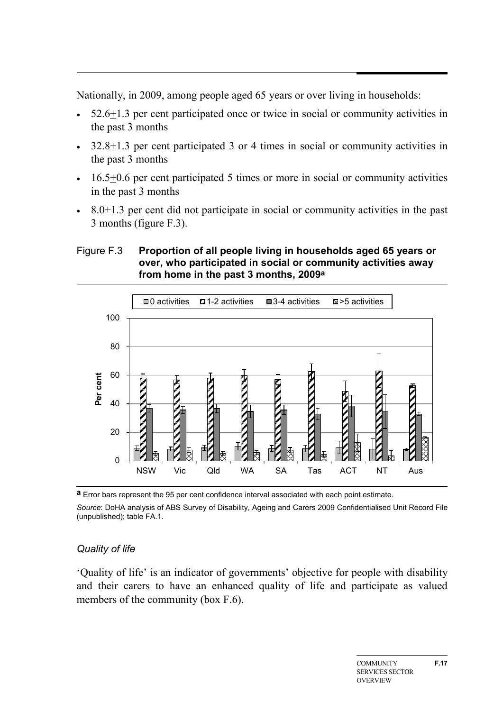Nationally, in 2009, among people aged 65 years or over living in households:

- 52.6+1.3 per cent participated once or twice in social or community activities in the past 3 months
- 32.8 $\pm$ 1.3 per cent participated 3 or 4 times in social or community activities in the past 3 months
- $\cdot$  16.5+0.6 per cent participated 5 times or more in social or community activities in the past 3 months
- 8.0+1.3 per cent did not participate in social or community activities in the past 3 months (figure F.3).

#### Figure F.3 **Proportion of all people living in households aged 65 years or over, who participated in social or community activities away from home in the past 3 months, 2009a**



**a** Error bars represent the 95 per cent confidence interval associated with each point estimate.

*Source*: DoHA analysis of ABS Survey of Disability, Ageing and Carers 2009 Confidentialised Unit Record File (unpublished); table FA.1.

## *Quality of life*

'Quality of life' is an indicator of governments' objective for people with disability and their carers to have an enhanced quality of life and participate as valued members of the community (box F.6).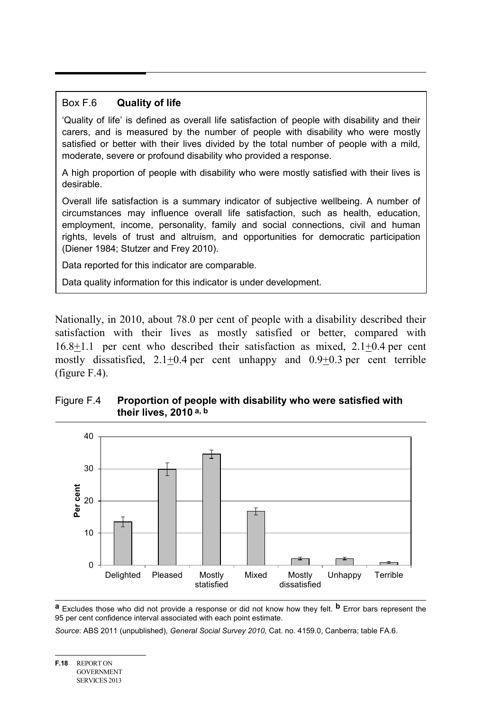#### Box F.6 **Quality of life**

'Quality of life' is defined as overall life satisfaction of people with disability and their carers, and is measured by the number of people with disability who were mostly satisfied or better with their lives divided by the total number of people with a mild, moderate, severe or profound disability who provided a response.

A high proportion of people with disability who were mostly satisfied with their lives is desirable.

Overall life satisfaction is a summary indicator of subjective wellbeing. A number of circumstances may influence overall life satisfaction, such as health, education, employment, income, personality, family and social connections, civil and human rights, levels of trust and altruism, and opportunities for democratic participation (Diener 1984; Stutzer and Frey 2010).

Data reported for this indicator are comparable.

Data quality information for this indicator is under development.

Nationally, in 2010, about 78.0 per cent of people with a disability described their satisfaction with their lives as mostly satisfied or better, compared with 16.8+1.1 per cent who described their satisfaction as mixed, 2.1+0.4 per cent mostly dissatisfied,  $2.1 \pm 0.4$  per cent unhappy and  $0.9 \pm 0.3$  per cent terrible (figure F.4).

#### Figure F.4 **Proportion of people with disability who were satisfied with their lives, 2010 a, b**



**a** Excludes those who did not provide a response or did not know how they felt. **b** Error bars represent the 95 per cent confidence interval associated with each point estimate.

*Source*: ABS 2011 (unpublished), *General Social Survey 2010,* Cat. no. 4159.0, Canberra; table FA.6.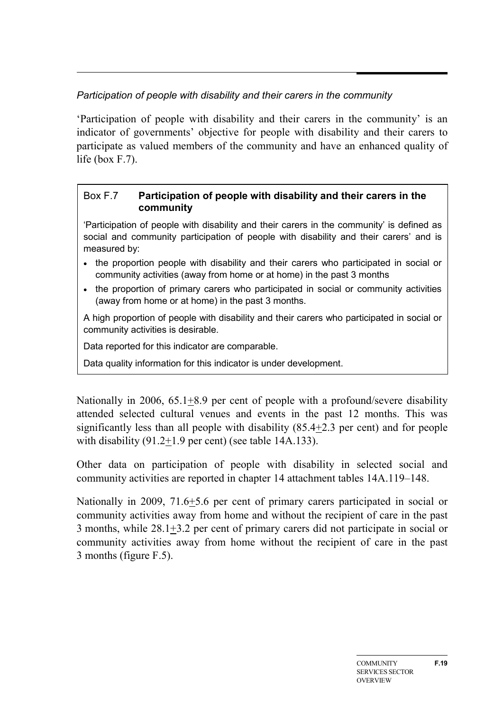# *Participation of people with disability and their carers in the community*

'Participation of people with disability and their carers in the community' is an indicator of governments' objective for people with disability and their carers to participate as valued members of the community and have an enhanced quality of life (box F.7).

#### Box F.7 **Participation of people with disability and their carers in the community**

'Participation of people with disability and their carers in the community' is defined as social and community participation of people with disability and their carers' and is measured by:

- the proportion people with disability and their carers who participated in social or community activities (away from home or at home) in the past 3 months
- the proportion of primary carers who participated in social or community activities (away from home or at home) in the past 3 months.

A high proportion of people with disability and their carers who participated in social or community activities is desirable.

Data reported for this indicator are comparable.

Data quality information for this indicator is under development.

Nationally in 2006, 65.1 $\pm$ 8.9 per cent of people with a profound/severe disability attended selected cultural venues and events in the past 12 months. This was significantly less than all people with disability  $(85.4 \pm 2.3$  per cent) and for people with disability  $(91.2+1.9$  per cent) (see table 14A.133).

Other data on participation of people with disability in selected social and community activities are reported in chapter 14 attachment tables 14A.119–148.

Nationally in 2009, 71.6+5.6 per cent of primary carers participated in social or community activities away from home and without the recipient of care in the past 3 months, while  $28.1 \pm 3.2$  per cent of primary carers did not participate in social or community activities away from home without the recipient of care in the past 3 months (figure F.5).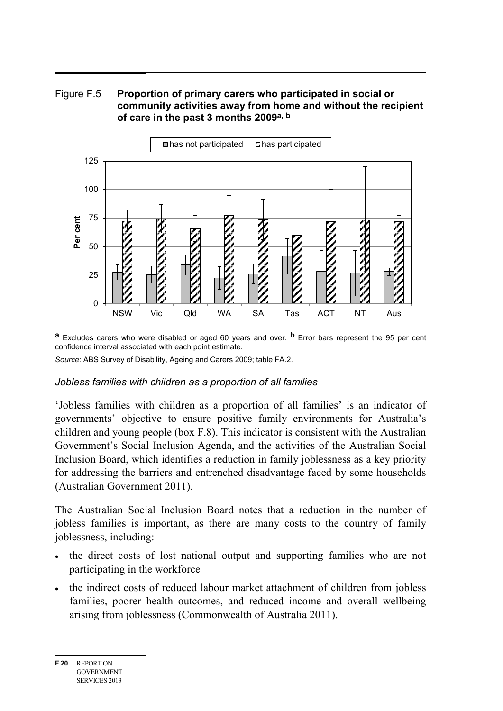#### Figure F.5 **Proportion of primary carers who participated in social or community activities away from home and without the recipient of care in the past 3 months 2009a, b**



**a** Excludes carers who were disabled or aged 60 years and over. **b** Error bars represent the 95 per cent confidence interval associated with each point estimate.

*Source*: ABS Survey of Disability, Ageing and Carers 2009; table FA.2.

#### *Jobless families with children as a proportion of all families*

'Jobless families with children as a proportion of all families' is an indicator of governments' objective to ensure positive family environments for Australia's children and young people (box F.8). This indicator is consistent with the Australian Government's Social Inclusion Agenda, and the activities of the Australian Social Inclusion Board, which identifies a reduction in family joblessness as a key priority for addressing the barriers and entrenched disadvantage faced by some households (Australian Government 2011).

The Australian Social Inclusion Board notes that a reduction in the number of jobless families is important, as there are many costs to the country of family joblessness, including:

- the direct costs of lost national output and supporting families who are not participating in the workforce
- the indirect costs of reduced labour market attachment of children from jobless families, poorer health outcomes, and reduced income and overall wellbeing arising from joblessness (Commonwealth of Australia 2011).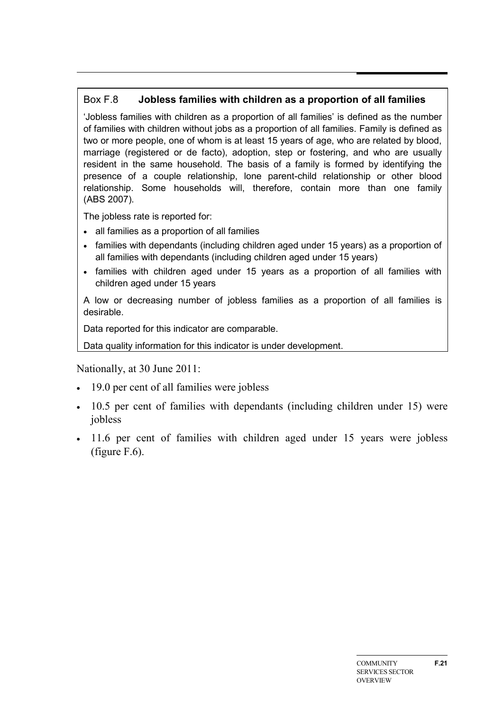# Box F.8 **Jobless families with children as a proportion of all families**

'Jobless families with children as a proportion of all families' is defined as the number of families with children without jobs as a proportion of all families. Family is defined as two or more people, one of whom is at least 15 years of age, who are related by blood, marriage (registered or de facto), adoption, step or fostering, and who are usually resident in the same household. The basis of a family is formed by identifying the presence of a couple relationship, lone parent-child relationship or other blood relationship. Some households will, therefore, contain more than one family (ABS 2007).

The jobless rate is reported for:

- all families as a proportion of all families
- families with dependants (including children aged under 15 years) as a proportion of all families with dependants (including children aged under 15 years)
- families with children aged under 15 years as a proportion of all families with children aged under 15 years

A low or decreasing number of jobless families as a proportion of all families is desirable.

Data reported for this indicator are comparable.

Data quality information for this indicator is under development.

Nationally, at 30 June 2011:

- 19.0 per cent of all families were jobless
- 10.5 per cent of families with dependants (including children under 15) were jobless
- 11.6 per cent of families with children aged under 15 years were jobless (figure F.6).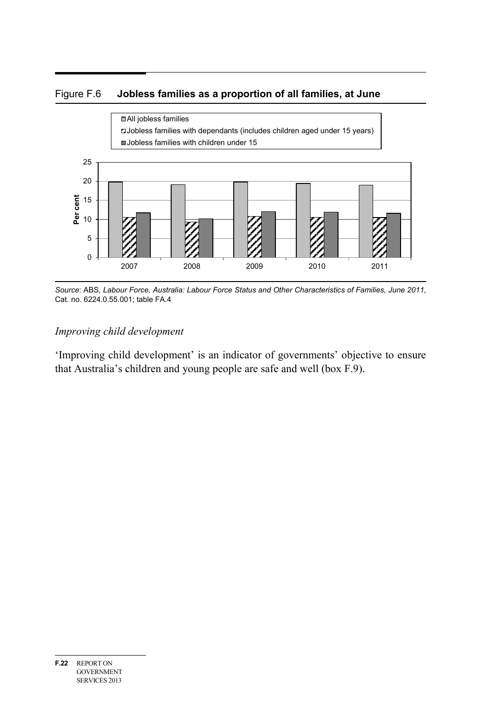#### Figure F.6 **Jobless families as a proportion of all families, at June**



*Source*: ABS, *Labour Force, Australia: Labour Force Status and Other Characteristics of Families, June 2011,* Cat. no. 6224.0.55.001; table FA.4

### *Improving child development*

'Improving child development' is an indicator of governments' objective to ensure that Australia's children and young people are safe and well (box F.9).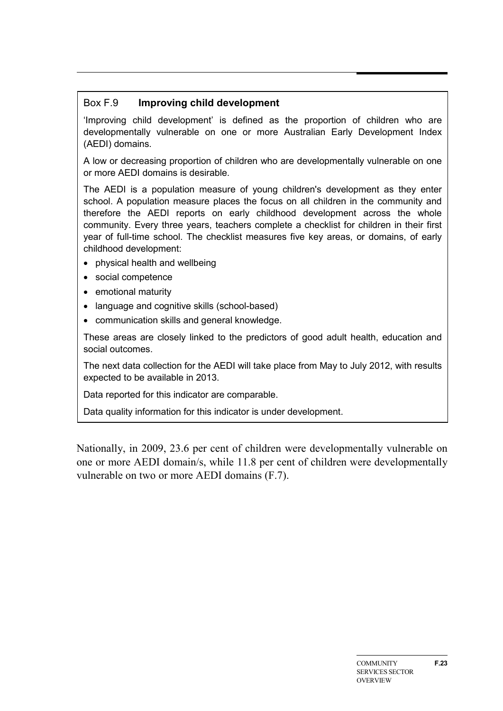#### Box F.9 **Improving child development**

'Improving child development' is defined as the proportion of children who are developmentally vulnerable on one or more Australian Early Development Index (AEDI) domains.

A low or decreasing proportion of children who are developmentally vulnerable on one or more AEDI domains is desirable.

The AEDI is a population measure of young children's development as they enter school. A population measure places the focus on all children in the community and therefore the AEDI reports on early childhood development across the whole community. Every three years, teachers complete a checklist for children in their first year of full-time school. The checklist measures five key areas, or domains, of early childhood development:

- physical health and wellbeing
- social competence
- emotional maturity
- language and cognitive skills (school-based)
- communication skills and general knowledge.

These areas are closely linked to the predictors of good adult health, education and social outcomes.

The next data collection for the AEDI will take place from May to July 2012, with results expected to be available in 2013.

Data reported for this indicator are comparable.

Data quality information for this indicator is under development.

Nationally, in 2009, 23.6 per cent of children were developmentally vulnerable on one or more AEDI domain/s, while 11.8 per cent of children were developmentally vulnerable on two or more AEDI domains (F.7).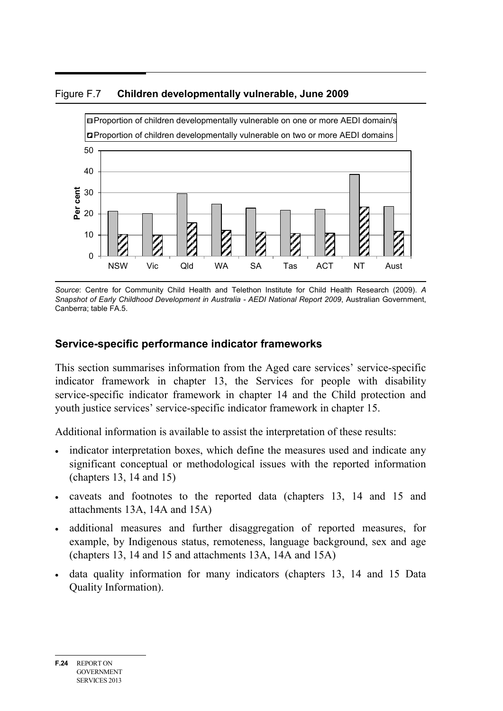



*Source*: Centre for Community Child Health and Telethon Institute for Child Health Research (2009). *A Snapshot of Early Childhood Development in Australia - AEDI National Report 2009*, Australian Government, Canberra; table FA.5.

# **Service-specific performance indicator frameworks**

This section summarises information from the Aged care services' service-specific indicator framework in chapter 13, the Services for people with disability service-specific indicator framework in chapter 14 and the Child protection and youth justice services' service-specific indicator framework in chapter 15.

Additional information is available to assist the interpretation of these results:

- indicator interpretation boxes, which define the measures used and indicate any significant conceptual or methodological issues with the reported information (chapters 13, 14 and 15)
- caveats and footnotes to the reported data (chapters 13, 14 and 15 and attachments 13A, 14A and 15A)
- additional measures and further disaggregation of reported measures, for example, by Indigenous status, remoteness, language background, sex and age (chapters 13, 14 and 15 and attachments 13A, 14A and 15A)
- data quality information for many indicators (chapters 13, 14 and 15 Data Quality Information).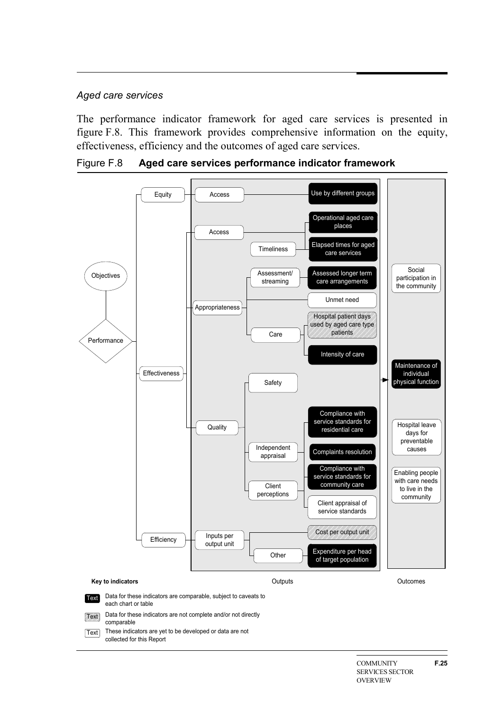#### *Aged care services*

The performance indicator framework for aged care services is presented in figure F.8. This framework provides comprehensive information on the equity, effectiveness, efficiency and the outcomes of aged care services.

Figure F.8 **Aged care services performance indicator framework**

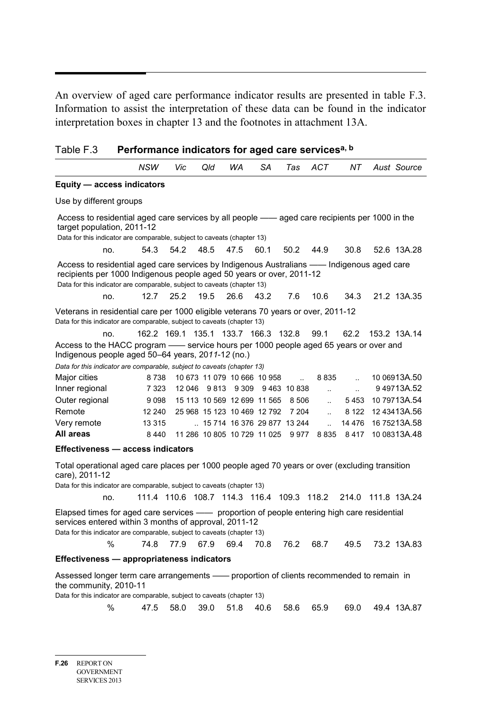An overview of aged care performance indicator results are presented in table F.3. Information to assist the interpretation of these data can be found in the indicator interpretation boxes in chapter 13 and the footnotes in attachment 13A.

| Table F.3 | Performance indicators for aged care servicesa, b |
|-----------|---------------------------------------------------|
|-----------|---------------------------------------------------|

|                                                                                                                                                                                                                                                                                                                            | NSW                                 | Vic    | Qld   | WA      | SA                          | Tas                         | <b>ACT</b>           | NT.                  |  | Aust Source  |  |  |  |
|----------------------------------------------------------------------------------------------------------------------------------------------------------------------------------------------------------------------------------------------------------------------------------------------------------------------------|-------------------------------------|--------|-------|---------|-----------------------------|-----------------------------|----------------------|----------------------|--|--------------|--|--|--|
| Equity - access indicators                                                                                                                                                                                                                                                                                                 |                                     |        |       |         |                             |                             |                      |                      |  |              |  |  |  |
| Use by different groups                                                                                                                                                                                                                                                                                                    |                                     |        |       |         |                             |                             |                      |                      |  |              |  |  |  |
| Access to residential aged care services by all people — aged care recipients per 1000 in the<br>target population, 2011-12<br>Data for this indicator are comparable, subject to caveats (chapter 13)                                                                                                                     |                                     |        |       |         |                             |                             |                      |                      |  |              |  |  |  |
| no.                                                                                                                                                                                                                                                                                                                        | 54.3                                | 54.2   | 48.5  | 47.5    | 60.1                        | 50.2                        | 44.9                 | 30.8                 |  | 52.6 13A.28  |  |  |  |
| Access to residential aged care services by Indigenous Australians —— Indigenous aged care<br>recipients per 1000 Indigenous people aged 50 years or over, 2011-12<br>Data for this indicator are comparable, subject to caveats (chapter 13)<br>25.2<br>19.5<br>26.6<br>43.2<br>7.6<br>10.6<br>21.2 13A.35<br>12.7<br>no. |                                     |        |       |         |                             |                             |                      |                      |  |              |  |  |  |
|                                                                                                                                                                                                                                                                                                                            |                                     |        |       |         |                             |                             |                      | 34.3                 |  |              |  |  |  |
| Veterans in residential care per 1000 eligible veterans 70 years or over, 2011-12<br>Data for this indicator are comparable, subject to caveats (chapter 13)                                                                                                                                                               |                                     |        |       |         |                             |                             |                      |                      |  |              |  |  |  |
| no.                                                                                                                                                                                                                                                                                                                        | 162.2 169.1 135.1 133.7 166.3 132.8 |        |       |         |                             |                             | 99.1                 | 62.2                 |  | 153.2 13A.14 |  |  |  |
| Access to the HACC program — service hours per 1000 people aged 65 years or over and<br>Indigenous people aged 50–64 years, 2011-12 (no.)                                                                                                                                                                                  |                                     |        |       |         |                             |                             |                      |                      |  |              |  |  |  |
| Data for this indicator are comparable, subject to caveats (chapter 13)                                                                                                                                                                                                                                                    |                                     |        |       |         |                             |                             |                      |                      |  |              |  |  |  |
| Major cities                                                                                                                                                                                                                                                                                                               | 8738                                |        |       |         | 10 673 11 079 10 666 10 958 | $\ddot{\phantom{a}}$        | 8 8 3 5              | $\ddot{\phantom{a}}$ |  | 10 06913A.50 |  |  |  |
| Inner regional                                                                                                                                                                                                                                                                                                             | 7 3 2 3                             | 12 046 | 9 813 | 9 3 0 9 |                             | 9463 10838                  | $\ddotsc$            | $\ddot{\phantom{a}}$ |  | 949713A.52   |  |  |  |
| Outer regional                                                                                                                                                                                                                                                                                                             | 9098                                |        |       |         | 15 113 10 569 12 699 11 565 | 8 5 0 6                     | $\ddot{\phantom{a}}$ | 5453                 |  | 10 79713A.54 |  |  |  |
| Remote                                                                                                                                                                                                                                                                                                                     | 12 240                              |        |       |         | 25 968 15 123 10 469 12 792 | 7 204                       | $\ddot{\phantom{a}}$ | 8 1 2 2              |  | 12 43413A.56 |  |  |  |
| Very remote                                                                                                                                                                                                                                                                                                                | 13 3 15                             |        |       |         |                             | 15 714 16 376 29 877 13 244 | $\ddot{\phantom{a}}$ | 14 476               |  | 16 75213A.58 |  |  |  |
| All areas                                                                                                                                                                                                                                                                                                                  | 8440                                |        |       |         | 11 286 10 805 10 729 11 025 | 9977                        | 8 8 3 5              | 8417                 |  | 10 08313A.48 |  |  |  |
| Effectiveness - access indicators                                                                                                                                                                                                                                                                                          |                                     |        |       |         |                             |                             |                      |                      |  |              |  |  |  |
| Total operational aged care places per 1000 people aged 70 years or over (excluding transition<br>care), 2011-12<br>Data for this indicator are comparable, subject to caveats (chapter 13)                                                                                                                                |                                     |        |       |         |                             |                             |                      |                      |  |              |  |  |  |

no. 111.4 110.6 108.7 114.3 116.4 109.3 118.2 214.0 111.8 13A.24

Elapsed times for aged care services —— proportion of people entering high care residential services entered within 3 months of approval, 2011-12

Data for this indicator are comparable, subject to caveats (chapter 13)

% 74.8 77.9 67.9 69.4 70.8 76.2 68.7 49.5 73.2 13A.83

#### **Effectiveness — appropriateness indicators**

Assessed longer term care arrangements —— proportion of clients recommended to remain in the community, 2010-11

Data for this indicator are comparable, subject to caveats (chapter 13)

% 47.5 58.0 39.0 51.8 40.6 58.6 65.9 69.0 49.4 13A.87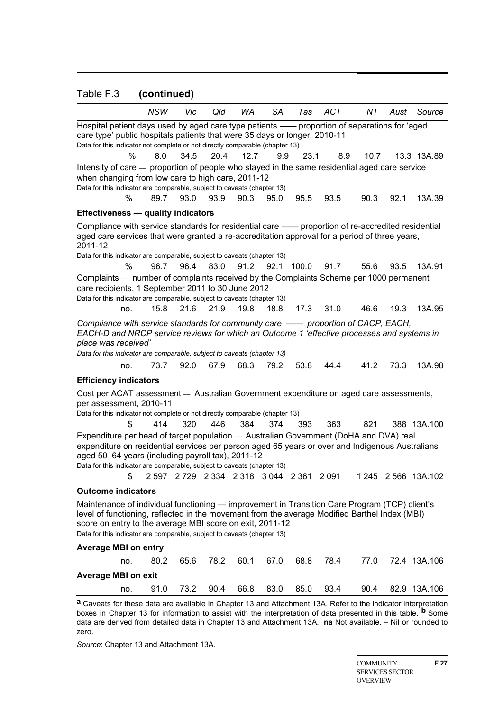#### Table F.3 **(continued)**

|                                                                                                                                                                                                                                                                                                                                       | <b>NSW</b> | Vic  | Qld  | WA   | SА   | Tas                                       | ACT  | NT   | Aust | Source              |  |  |  |
|---------------------------------------------------------------------------------------------------------------------------------------------------------------------------------------------------------------------------------------------------------------------------------------------------------------------------------------|------------|------|------|------|------|-------------------------------------------|------|------|------|---------------------|--|--|--|
| Hospital patient days used by aged care type patients - proportion of separations for 'aged                                                                                                                                                                                                                                           |            |      |      |      |      |                                           |      |      |      |                     |  |  |  |
| care type' public hospitals patients that were 35 days or longer, 2010-11<br>Data for this indicator not complete or not directly comparable (chapter 13)                                                                                                                                                                             |            |      |      |      |      |                                           |      |      |      |                     |  |  |  |
|                                                                                                                                                                                                                                                                                                                                       |            |      |      |      |      |                                           |      |      |      |                     |  |  |  |
| %                                                                                                                                                                                                                                                                                                                                     | 8.0        | 34.5 | 20.4 | 12.7 | 9.9  | 23.1                                      | 8.9  | 10.7 |      | 13.3 13A.89         |  |  |  |
| Intensity of care - proportion of people who stayed in the same residential aged care service<br>when changing from low care to high care, 2011-12                                                                                                                                                                                    |            |      |      |      |      |                                           |      |      |      |                     |  |  |  |
| Data for this indicator are comparable, subject to caveats (chapter 13)                                                                                                                                                                                                                                                               |            |      |      |      |      |                                           |      |      |      |                     |  |  |  |
| %                                                                                                                                                                                                                                                                                                                                     | 89.7       | 93.0 | 93.9 | 90.3 | 95.0 | 95.5                                      | 93.5 | 90.3 | 92.1 | 13A.39              |  |  |  |
| <b>Effectiveness - quality indicators</b>                                                                                                                                                                                                                                                                                             |            |      |      |      |      |                                           |      |      |      |                     |  |  |  |
| Compliance with service standards for residential care —— proportion of re-accredited residential                                                                                                                                                                                                                                     |            |      |      |      |      |                                           |      |      |      |                     |  |  |  |
| aged care services that were granted a re-accreditation approval for a period of three years,<br>2011-12                                                                                                                                                                                                                              |            |      |      |      |      |                                           |      |      |      |                     |  |  |  |
| Data for this indicator are comparable, subject to caveats (chapter 13)                                                                                                                                                                                                                                                               |            |      |      |      |      |                                           |      |      |      |                     |  |  |  |
| ℅                                                                                                                                                                                                                                                                                                                                     | 96.7       | 96.4 | 83.0 | 91.2 | 92.1 | 100.0                                     | 91.7 | 55.6 | 93.5 | 13A.91              |  |  |  |
| Complaints — number of complaints received by the Complaints Scheme per 1000 permanent<br>care recipients, 1 September 2011 to 30 June 2012                                                                                                                                                                                           |            |      |      |      |      |                                           |      |      |      |                     |  |  |  |
| Data for this indicator are comparable, subject to caveats (chapter 13)                                                                                                                                                                                                                                                               |            |      |      |      |      |                                           |      |      |      |                     |  |  |  |
| no.                                                                                                                                                                                                                                                                                                                                   | 15.8       | 21.6 | 21.9 | 19.8 | 18.8 | 17.3                                      | 31.0 | 46.6 | 19.3 | 13A.95              |  |  |  |
| Compliance with service standards for community care - proportion of CACP, EACH,                                                                                                                                                                                                                                                      |            |      |      |      |      |                                           |      |      |      |                     |  |  |  |
| EACH-D and NRCP service reviews for which an Outcome 1 'effective processes and systems in<br>place was received'                                                                                                                                                                                                                     |            |      |      |      |      |                                           |      |      |      |                     |  |  |  |
| Data for this indicator are comparable, subject to caveats (chapter 13)                                                                                                                                                                                                                                                               |            |      |      |      |      |                                           |      |      |      |                     |  |  |  |
| no.                                                                                                                                                                                                                                                                                                                                   | 73.7       | 92.0 | 67.9 | 68.3 | 79.2 | 53.8                                      | 44.4 | 41.2 | 73.3 | 13A.98              |  |  |  |
| <b>Efficiency indicators</b>                                                                                                                                                                                                                                                                                                          |            |      |      |      |      |                                           |      |      |      |                     |  |  |  |
| Cost per ACAT assessment - Australian Government expenditure on aged care assessments,                                                                                                                                                                                                                                                |            |      |      |      |      |                                           |      |      |      |                     |  |  |  |
| per assessment, 2010-11<br>Data for this indicator not complete or not directly comparable (chapter 13)                                                                                                                                                                                                                               |            |      |      |      |      |                                           |      |      |      |                     |  |  |  |
| \$                                                                                                                                                                                                                                                                                                                                    | 414        | 320  | 446  | 384  | 374  | 393                                       | 363  | 821  |      | 388 13A.100         |  |  |  |
|                                                                                                                                                                                                                                                                                                                                       |            |      |      |      |      |                                           |      |      |      |                     |  |  |  |
| Expenditure per head of target population - Australian Government (DoHA and DVA) real<br>expenditure on residential services per person aged 65 years or over and Indigenous Australians                                                                                                                                              |            |      |      |      |      |                                           |      |      |      |                     |  |  |  |
| aged 50-64 years (including payroll tax), 2011-12                                                                                                                                                                                                                                                                                     |            |      |      |      |      |                                           |      |      |      |                     |  |  |  |
| Data for this indicator are comparable, subject to caveats (chapter 13)                                                                                                                                                                                                                                                               |            |      |      |      |      |                                           |      |      |      |                     |  |  |  |
| \$                                                                                                                                                                                                                                                                                                                                    |            |      |      |      |      | 2 597 2 729 2 334 2 318 3 044 2 361 2 091 |      |      |      | 1 245 2 566 13A.102 |  |  |  |
| <b>Outcome indicators</b>                                                                                                                                                                                                                                                                                                             |            |      |      |      |      |                                           |      |      |      |                     |  |  |  |
| Maintenance of individual functioning — improvement in Transition Care Program (TCP) client's<br>level of functioning, reflected in the movement from the average Modified Barthel Index (MBI)<br>score on entry to the average MBI score on exit, 2011-12<br>Data for this indicator are comparable, subject to caveats (chapter 13) |            |      |      |      |      |                                           |      |      |      |                     |  |  |  |
| <b>Average MBI on entry</b>                                                                                                                                                                                                                                                                                                           |            |      |      |      |      |                                           |      |      |      |                     |  |  |  |
| no.                                                                                                                                                                                                                                                                                                                                   | 80.2       | 65.6 | 78.2 | 60.1 | 67.0 | 68.8                                      | 78.4 | 77.0 |      | 72.4 13A.106        |  |  |  |
| <b>Average MBI on exit</b>                                                                                                                                                                                                                                                                                                            |            |      |      |      |      |                                           |      |      |      |                     |  |  |  |
| no.                                                                                                                                                                                                                                                                                                                                   | 91.0       | 73.2 | 90.4 | 66.8 | 83.0 | 85.0                                      | 93.4 | 90.4 |      | 82.9 13A.106        |  |  |  |
|                                                                                                                                                                                                                                                                                                                                       |            |      |      |      |      |                                           |      |      |      |                     |  |  |  |

**a** Caveats for these data are available in Chapter 13 and Attachment 13A. Refer to the indicator interpretation boxes in Chapter 13 for information to assist with the interpretation of data presented in this table. **b** Some data are derived from detailed data in Chapter 13 and Attachment 13A. **na** Not available. – Nil or rounded to zero.

*Source*: Chapter 13 and Attachment 13A.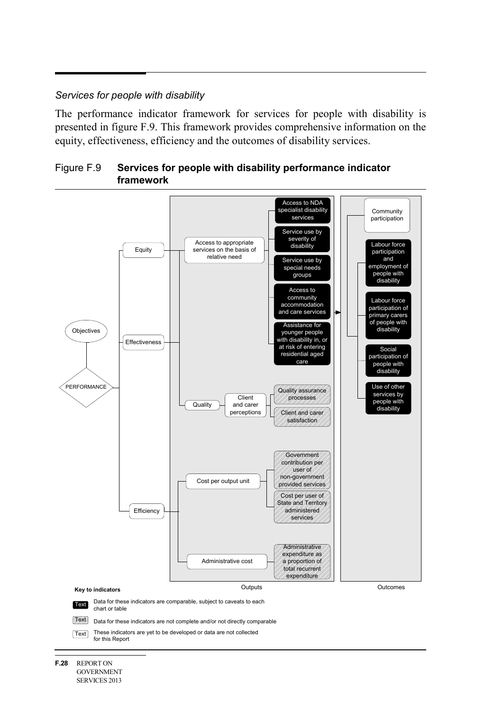#### *Services for people with disability*

The performance indicator framework for services for people with disability is presented in figure F.9. This framework provides comprehensive information on the equity, effectiveness, efficiency and the outcomes of disability services.





**F.28** REPORT ON GOVERNMENT SERVICES 2013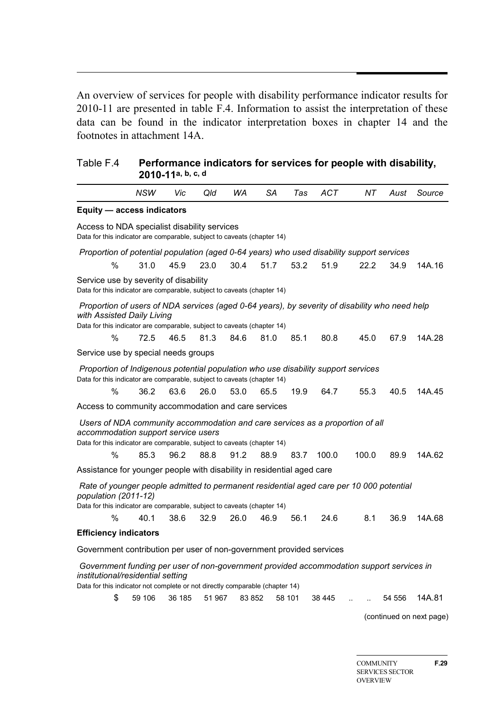An overview of services for people with disability performance indicator results for 2010-11 are presented in table F.4. Information to assist the interpretation of these data can be found in the indicator interpretation boxes in chapter 14 and the footnotes in attachment 14A.

| Table F.4                                                                                                                                                                                                     |      | 2010-11a, b, c, d |      |      |      | Performance indicators for services for people with disability, |            |       |      |        |  |
|---------------------------------------------------------------------------------------------------------------------------------------------------------------------------------------------------------------|------|-------------------|------|------|------|-----------------------------------------------------------------|------------|-------|------|--------|--|
|                                                                                                                                                                                                               | NSW  | Vic               | Qld  | WA   | SA   | Tas                                                             | <b>ACT</b> | NΤ    | Aust | Source |  |
| Equity - access indicators                                                                                                                                                                                    |      |                   |      |      |      |                                                                 |            |       |      |        |  |
| Access to NDA specialist disability services<br>Data for this indicator are comparable, subject to caveats (chapter 14)                                                                                       |      |                   |      |      |      |                                                                 |            |       |      |        |  |
| Proportion of potential population (aged 0-64 years) who used disability support services                                                                                                                     |      |                   |      |      |      |                                                                 |            |       |      |        |  |
| %                                                                                                                                                                                                             | 31.0 | 45.9              | 23.0 | 30.4 | 51.7 | 53.2                                                            | 51.9       | 22.2  | 34.9 | 14A.16 |  |
| Service use by severity of disability<br>Data for this indicator are comparable, subject to caveats (chapter 14)                                                                                              |      |                   |      |      |      |                                                                 |            |       |      |        |  |
| Proportion of users of NDA services (aged 0-64 years), by severity of disability who need help<br>with Assisted Daily Living<br>Data for this indicator are comparable, subject to caveats (chapter 14)       |      |                   |      |      |      |                                                                 |            |       |      |        |  |
| %                                                                                                                                                                                                             | 72.5 | 46.5              | 81.3 | 84.6 | 81.0 | 85.1                                                            | 80.8       | 45.0  | 67.9 | 14A.28 |  |
| Service use by special needs groups                                                                                                                                                                           |      |                   |      |      |      |                                                                 |            |       |      |        |  |
| Proportion of Indigenous potential population who use disability support services<br>Data for this indicator are comparable, subject to caveats (chapter 14)                                                  |      |                   |      |      |      |                                                                 |            |       |      |        |  |
| $\%$                                                                                                                                                                                                          | 36.2 | 63.6              | 26.0 | 53.0 | 65.5 | 19.9                                                            | 64.7       | 55.3  | 40.5 | 14A.45 |  |
| Access to community accommodation and care services                                                                                                                                                           |      |                   |      |      |      |                                                                 |            |       |      |        |  |
| Users of NDA community accommodation and care services as a proportion of all<br>accommodation support service users<br>Data for this indicator are comparable, subject to caveats (chapter 14)<br>%          | 85.3 | 96.2              | 88.8 | 91.2 | 88.9 | 83.7                                                            | 100.0      | 100.0 | 89.9 | 14A.62 |  |
| Assistance for younger people with disability in residential aged care                                                                                                                                        |      |                   |      |      |      |                                                                 |            |       |      |        |  |
| Rate of younger people admitted to permanent residential aged care per 10 000 potential<br>population (2011-12)                                                                                               |      |                   |      |      |      |                                                                 |            |       |      |        |  |
| Data for this indicator are comparable, subject to caveats (chapter 14)                                                                                                                                       |      |                   |      |      |      |                                                                 |            |       |      |        |  |
| %                                                                                                                                                                                                             | 40.1 | 38.6              | 32.9 | 26.0 | 46.9 | 56.1                                                            | 24.6       | 8.1   | 36.9 | 14A.68 |  |
| <b>Efficiency indicators</b>                                                                                                                                                                                  |      |                   |      |      |      |                                                                 |            |       |      |        |  |
| Government contribution per user of non-government provided services                                                                                                                                          |      |                   |      |      |      |                                                                 |            |       |      |        |  |
| Government funding per user of non-government provided accommodation support services in<br>institutional/residential setting<br>Data for this indicator not complete or not directly comparable (chapter 14) |      |                   |      |      |      |                                                                 |            |       |      |        |  |

\$ 59 106 36 185 51 967 83 852 58 101 38 445 .. .. 54 556 14A.81

(continued on next page)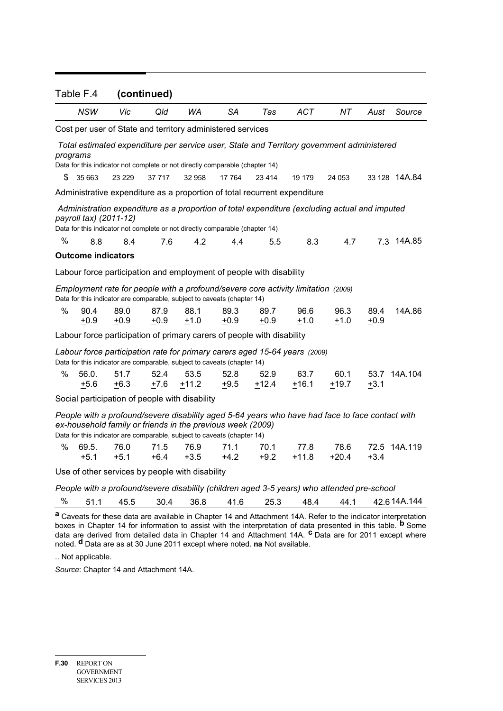|                                                                                                                                                                                                                                          | Table F.4<br>(continued)                                                                                                                                                                                |                |                                                                              |                 |                |                                                                     |                                                                                   |                                                                                            |                |               |  |  |
|------------------------------------------------------------------------------------------------------------------------------------------------------------------------------------------------------------------------------------------|---------------------------------------------------------------------------------------------------------------------------------------------------------------------------------------------------------|----------------|------------------------------------------------------------------------------|-----------------|----------------|---------------------------------------------------------------------|-----------------------------------------------------------------------------------|--------------------------------------------------------------------------------------------|----------------|---------------|--|--|
|                                                                                                                                                                                                                                          |                                                                                                                                                                                                         |                |                                                                              |                 |                |                                                                     |                                                                                   |                                                                                            |                |               |  |  |
|                                                                                                                                                                                                                                          | NSW                                                                                                                                                                                                     | Vic            | Qld                                                                          | WA              | SА             | Tas                                                                 | <b>ACT</b>                                                                        | NT.                                                                                        | Aust           | Source        |  |  |
|                                                                                                                                                                                                                                          |                                                                                                                                                                                                         |                | Cost per user of State and territory administered services                   |                 |                |                                                                     |                                                                                   |                                                                                            |                |               |  |  |
|                                                                                                                                                                                                                                          | programs                                                                                                                                                                                                |                |                                                                              |                 |                |                                                                     |                                                                                   | Total estimated expenditure per service user, State and Territory government administered  |                |               |  |  |
|                                                                                                                                                                                                                                          |                                                                                                                                                                                                         |                | Data for this indicator not complete or not directly comparable (chapter 14) |                 |                |                                                                     |                                                                                   |                                                                                            |                |               |  |  |
| \$                                                                                                                                                                                                                                       | 35 663                                                                                                                                                                                                  | 23 2 29        | 37 717                                                                       | 32 958          | 17 764         | 23 4 14                                                             | 19 179                                                                            | 24 053                                                                                     |                | 33 128 14A.84 |  |  |
|                                                                                                                                                                                                                                          |                                                                                                                                                                                                         |                |                                                                              |                 |                |                                                                     | Administrative expenditure as a proportion of total recurrent expenditure         |                                                                                            |                |               |  |  |
|                                                                                                                                                                                                                                          | Administration expenditure as a proportion of total expenditure (excluding actual and imputed<br>payroll tax) (2011-12)<br>Data for this indicator not complete or not directly comparable (chapter 14) |                |                                                                              |                 |                |                                                                     |                                                                                   |                                                                                            |                |               |  |  |
| %                                                                                                                                                                                                                                        | 8.8                                                                                                                                                                                                     | 8.4            | 7.6                                                                          | 4.2             | 4.4            | 5.5                                                                 | 8.3                                                                               | 4.7                                                                                        |                | 7.3 14A.85    |  |  |
|                                                                                                                                                                                                                                          | <b>Outcome indicators</b>                                                                                                                                                                               |                |                                                                              |                 |                |                                                                     |                                                                                   |                                                                                            |                |               |  |  |
|                                                                                                                                                                                                                                          |                                                                                                                                                                                                         |                |                                                                              |                 |                | Labour force participation and employment of people with disability |                                                                                   |                                                                                            |                |               |  |  |
|                                                                                                                                                                                                                                          |                                                                                                                                                                                                         |                | Data for this indicator are comparable, subject to caveats (chapter 14)      |                 |                |                                                                     | Employment rate for people with a profound/severe core activity limitation (2009) |                                                                                            |                |               |  |  |
| %                                                                                                                                                                                                                                        | 90.4<br>$+0.9$                                                                                                                                                                                          | 89.0<br>$+0.9$ | 87.9<br>$+0.9$                                                               | 88.1<br>$+1.0$  | 89.3<br>$+0.9$ | 89.7<br>$+0.9$                                                      | 96.6<br>$+1.0$                                                                    | 96.3<br>$+1.0$                                                                             | 89.4<br>$+0.9$ | 14A.86        |  |  |
| Labour force participation of primary carers of people with disability                                                                                                                                                                   |                                                                                                                                                                                                         |                |                                                                              |                 |                |                                                                     |                                                                                   |                                                                                            |                |               |  |  |
| Labour force participation rate for primary carers aged 15-64 years (2009)<br>Data for this indicator are comparable, subject to caveats (chapter 14)                                                                                    |                                                                                                                                                                                                         |                |                                                                              |                 |                |                                                                     |                                                                                   |                                                                                            |                |               |  |  |
| ℅                                                                                                                                                                                                                                        | 56.0.<br>$+5.6$                                                                                                                                                                                         | 51.7<br>$+6.3$ | 52.4<br>$+7.6$                                                               | 53.5<br>$+11.2$ | 52.8<br>$+9.5$ | 52.9<br>$+12.4$                                                     | 63.7<br>$+16.1$                                                                   | 60.1<br>$+19.7$                                                                            | $+3.1$         | 53.7 14A.104  |  |  |
| Social participation of people with disability                                                                                                                                                                                           |                                                                                                                                                                                                         |                |                                                                              |                 |                |                                                                     |                                                                                   |                                                                                            |                |               |  |  |
| People with a profound/severe disability aged 5-64 years who have had face to face contact with<br>ex-household family or friends in the previous week (2009)<br>Data for this indicator are comparable, subject to caveats (chapter 14) |                                                                                                                                                                                                         |                |                                                                              |                 |                |                                                                     |                                                                                   |                                                                                            |                |               |  |  |
| %                                                                                                                                                                                                                                        | 69.5.<br>$+5.1$                                                                                                                                                                                         | 76.0<br>$+5.1$ | 71.5<br>$+6.4$                                                               | 76.9<br>$+3.5$  | 71.1<br>$+4.2$ | 70.1<br>$+9.2$                                                      | 77.8<br>$+11.8$                                                                   | 78.6<br>$+20.4$                                                                            | $+3.4$         | 72.5 14A.119  |  |  |
|                                                                                                                                                                                                                                          |                                                                                                                                                                                                         |                | Use of other services by people with disability                              |                 |                |                                                                     |                                                                                   |                                                                                            |                |               |  |  |
|                                                                                                                                                                                                                                          |                                                                                                                                                                                                         |                |                                                                              |                 |                |                                                                     |                                                                                   | People with a profound/severe disability (children aged 3-5 years) who attended pre-school |                |               |  |  |

|--|

**a** Caveats for these data are available in Chapter 14 and Attachment 14A. Refer to the indicator interpretation boxes in Chapter 14 for information to assist with the interpretation of data presented in this table. **b** Some data are derived from detailed data in Chapter 14 and Attachment 14A. **c** Data are for 2011 except where noted. **d** Data are as at 30 June 2011 except where noted. **na** Not available.

.. Not applicable.

*Source*: Chapter 14 and Attachment 14A.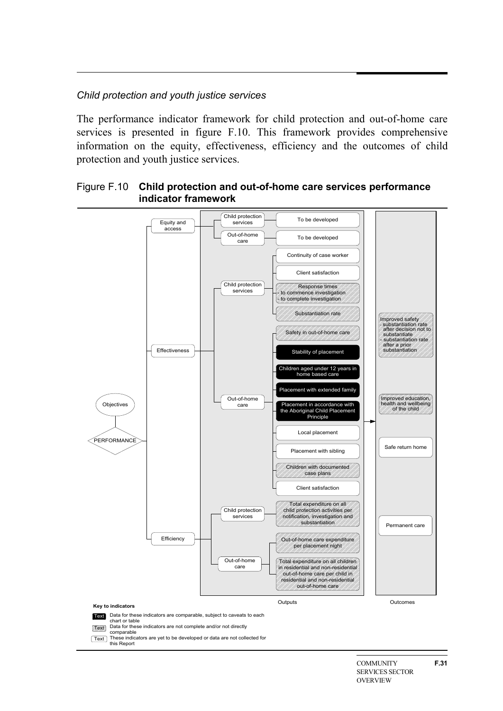#### *Child protection and youth justice services*

this Report

The performance indicator framework for child protection and out-of-home care services is presented in figure F.10. This framework provides comprehensive information on the equity, effectiveness, efficiency and the outcomes of child protection and youth justice services.



#### Figure F.10 **Child protection and out-of-home care services performance indicator framework**

**COMMUNITY** SERVICES SECTOR OVERVIEW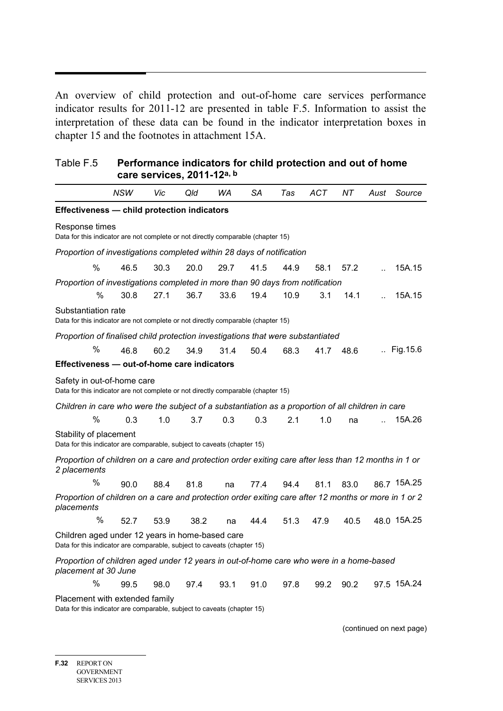An overview of child protection and out-of-home care services performance indicator results for 2011-12 are presented in table F.5. Information to assist the interpretation of these data can be found in the indicator interpretation boxes in chapter 15 and the footnotes in attachment 15A.

| Table F.5 | Performance indicators for child protection and out of home |
|-----------|-------------------------------------------------------------|
|           | care services, 2011-12a, b                                  |

|                                                                                                                      | NSW                                                                                                                        | Vic  | Qld  | WA   | SA   | Tas  | ACT  | NT.  | Aust | Source      |  |  |  |  |  |  |
|----------------------------------------------------------------------------------------------------------------------|----------------------------------------------------------------------------------------------------------------------------|------|------|------|------|------|------|------|------|-------------|--|--|--|--|--|--|
| Effectiveness - child protection indicators                                                                          |                                                                                                                            |      |      |      |      |      |      |      |      |             |  |  |  |  |  |  |
| Response times<br>Data for this indicator are not complete or not directly comparable (chapter 15)                   |                                                                                                                            |      |      |      |      |      |      |      |      |             |  |  |  |  |  |  |
| Proportion of investigations completed within 28 days of notification                                                |                                                                                                                            |      |      |      |      |      |      |      |      |             |  |  |  |  |  |  |
| %                                                                                                                    | 46.5                                                                                                                       | 30.3 | 20.0 | 29.7 | 41.5 | 44.9 | 58.1 | 57.2 |      | 15A.15      |  |  |  |  |  |  |
| Proportion of investigations completed in more than 90 days from notification                                        |                                                                                                                            |      |      |      |      |      |      |      |      |             |  |  |  |  |  |  |
| %                                                                                                                    | 30.8                                                                                                                       | 27.1 | 36.7 | 33.6 | 19.4 | 10.9 | 3.1  | 14.1 |      | 15A.15      |  |  |  |  |  |  |
| Substantiation rate<br>Data for this indicator are not complete or not directly comparable (chapter 15)              |                                                                                                                            |      |      |      |      |      |      |      |      |             |  |  |  |  |  |  |
| Proportion of finalised child protection investigations that were substantiated                                      |                                                                                                                            |      |      |      |      |      |      |      |      |             |  |  |  |  |  |  |
| %                                                                                                                    | 46.8                                                                                                                       | 60.2 | 34.9 | 31.4 | 50.4 | 68.3 | 41.7 | 48.6 |      | Fig. 15.6   |  |  |  |  |  |  |
| Effectiveness - out-of-home care indicators                                                                          |                                                                                                                            |      |      |      |      |      |      |      |      |             |  |  |  |  |  |  |
| Safety in out-of-home care<br>Data for this indicator are not complete or not directly comparable (chapter 15)       |                                                                                                                            |      |      |      |      |      |      |      |      |             |  |  |  |  |  |  |
| Children in care who were the subject of a substantiation as a proportion of all children in care                    |                                                                                                                            |      |      |      |      |      |      |      |      |             |  |  |  |  |  |  |
| %                                                                                                                    | 0.3                                                                                                                        | 1.0  | 3.7  | 0.3  | 0.3  | 2.1  | 1.0  | na   |      | 15A.26      |  |  |  |  |  |  |
| Stability of placement<br>Data for this indicator are comparable, subject to caveats (chapter 15)                    |                                                                                                                            |      |      |      |      |      |      |      |      |             |  |  |  |  |  |  |
| Proportion of children on a care and protection order exiting care after less than 12 months in 1 or<br>2 placements |                                                                                                                            |      |      |      |      |      |      |      |      |             |  |  |  |  |  |  |
| %                                                                                                                    | 90.0                                                                                                                       | 88.4 | 81.8 | na   | 77.4 | 94.4 | 81.1 | 83.0 |      | 86.7 15A.25 |  |  |  |  |  |  |
| Proportion of children on a care and protection order exiting care after 12 months or more in 1 or 2<br>placements   |                                                                                                                            |      |      |      |      |      |      |      |      |             |  |  |  |  |  |  |
| %                                                                                                                    | 52.7                                                                                                                       | 53.9 | 38.2 | na   | 44.4 | 51.3 | 47.9 | 40.5 |      | 48.0 15A.25 |  |  |  |  |  |  |
|                                                                                                                      | Children aged under 12 years in home-based care<br>Data for this indicator are comparable, subject to caveats (chapter 15) |      |      |      |      |      |      |      |      |             |  |  |  |  |  |  |
| Proportion of children aged under 12 years in out-of-home care who were in a home-based<br>placement at 30 June      |                                                                                                                            |      |      |      |      |      |      |      |      |             |  |  |  |  |  |  |
| %                                                                                                                    | 99.5                                                                                                                       | 98.0 | 97.4 | 93.1 | 91.0 | 97.8 | 99.2 | 90.2 |      | 97.5 15A.24 |  |  |  |  |  |  |
| Placement with extended family<br>Data for this indicator are comparable, subject to caveats (chapter 15)            |                                                                                                                            |      |      |      |      |      |      |      |      |             |  |  |  |  |  |  |

(continued on next page)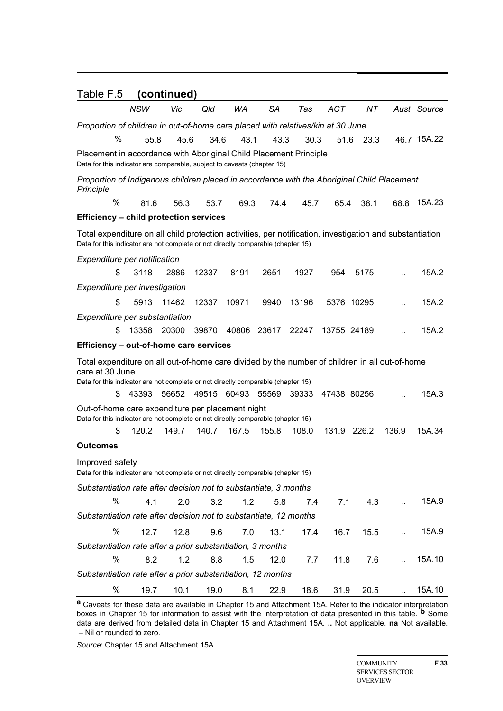| Table F.5                                                                                                                                                                                             |                                                                                                                                                                                                                                            | (continued) |       |       |       |       |             |             |                      |             |  |  |  |
|-------------------------------------------------------------------------------------------------------------------------------------------------------------------------------------------------------|--------------------------------------------------------------------------------------------------------------------------------------------------------------------------------------------------------------------------------------------|-------------|-------|-------|-------|-------|-------------|-------------|----------------------|-------------|--|--|--|
|                                                                                                                                                                                                       | <b>NSW</b>                                                                                                                                                                                                                                 | Vic         | Qld   | WA    | SA    | Tas   | <b>ACT</b>  | NT.         |                      | Aust Source |  |  |  |
| Proportion of children in out-of-home care placed with relatives/kin at 30 June<br>%                                                                                                                  | 55.8                                                                                                                                                                                                                                       | 45.6        | 34.6  | 43.1  | 43.3  | 30.3  | 51.6        | 23.3        |                      | 46.7 15A.22 |  |  |  |
|                                                                                                                                                                                                       | Placement in accordance with Aboriginal Child Placement Principle<br>Data for this indicator are comparable, subject to caveats (chapter 15)<br>Proportion of Indigenous children placed in accordance with the Aboriginal Child Placement |             |       |       |       |       |             |             |                      |             |  |  |  |
| Principle                                                                                                                                                                                             |                                                                                                                                                                                                                                            |             |       |       |       |       |             |             |                      |             |  |  |  |
| $\frac{0}{0}$                                                                                                                                                                                         | 81.6                                                                                                                                                                                                                                       | 56.3        | 53.7  | 69.3  | 74.4  | 45.7  | 65.4        | 38.1        | 68.8                 | 15A.23      |  |  |  |
| <b>Efficiency - child protection services</b>                                                                                                                                                         |                                                                                                                                                                                                                                            |             |       |       |       |       |             |             |                      |             |  |  |  |
|                                                                                                                                                                                                       | Total expenditure on all child protection activities, per notification, investigation and substantiation<br>Data for this indicator are not complete or not directly comparable (chapter 15)<br>Expenditure per notification               |             |       |       |       |       |             |             |                      |             |  |  |  |
|                                                                                                                                                                                                       |                                                                                                                                                                                                                                            |             |       |       |       |       |             |             |                      |             |  |  |  |
| \$                                                                                                                                                                                                    | 3118                                                                                                                                                                                                                                       | 2886        | 12337 | 8191  | 2651  | 1927  | 954         | 5175        |                      | 15A.2       |  |  |  |
| Expenditure per investigation                                                                                                                                                                         |                                                                                                                                                                                                                                            |             |       |       |       |       |             |             |                      |             |  |  |  |
| \$                                                                                                                                                                                                    | 5913                                                                                                                                                                                                                                       | 11462       | 12337 | 10971 | 9940  | 13196 |             | 5376 10295  |                      | 15A.2       |  |  |  |
| Expenditure per substantiation<br>\$                                                                                                                                                                  | 13358                                                                                                                                                                                                                                      | 20300       | 39870 | 40806 | 23617 | 22247 | 13755 24189 |             |                      | 15A.2       |  |  |  |
| Efficiency - out-of-home care services                                                                                                                                                                |                                                                                                                                                                                                                                            |             |       |       |       |       |             |             |                      |             |  |  |  |
| Total expenditure on all out-of-home care divided by the number of children in all out-of-home<br>care at 30 June<br>Data for this indicator are not complete or not directly comparable (chapter 15) |                                                                                                                                                                                                                                            |             |       |       |       |       |             |             |                      |             |  |  |  |
| S                                                                                                                                                                                                     | 43393                                                                                                                                                                                                                                      | 56652       | 49515 | 60493 | 55569 | 39333 | 47438 80256 |             |                      | 15A.3       |  |  |  |
| Out-of-home care expenditure per placement night<br>Data for this indicator are not complete or not directly comparable (chapter 15)                                                                  |                                                                                                                                                                                                                                            |             |       |       |       |       |             |             |                      |             |  |  |  |
| \$                                                                                                                                                                                                    | 120.2                                                                                                                                                                                                                                      | 149.7       | 140.7 | 167.5 | 155.8 | 108.0 |             | 131.9 226.2 | 136.9                | 15A.34      |  |  |  |
| <b>Outcomes</b>                                                                                                                                                                                       |                                                                                                                                                                                                                                            |             |       |       |       |       |             |             |                      |             |  |  |  |
| Improved safety<br>Data for this indicator are not complete or not directly comparable (chapter 15)                                                                                                   |                                                                                                                                                                                                                                            |             |       |       |       |       |             |             |                      |             |  |  |  |
| Substantiation rate after decision not to substantiate, 3 months                                                                                                                                      |                                                                                                                                                                                                                                            |             |       |       |       |       |             |             |                      |             |  |  |  |
| %                                                                                                                                                                                                     | 4.1                                                                                                                                                                                                                                        | 2.0         | 3.2   | 1.2   | 5.8   | 7.4   | 7.1         | 4.3         | ă.                   | 15A.9       |  |  |  |
| Substantiation rate after decision not to substantiate, 12 months                                                                                                                                     |                                                                                                                                                                                                                                            |             |       |       |       |       |             |             |                      |             |  |  |  |
| %                                                                                                                                                                                                     | 12.7                                                                                                                                                                                                                                       | 12.8        | 9.6   | 7.0   | 13.1  | 17.4  | 16.7        | 15.5        | $\ddot{\phantom{a}}$ | 15A.9       |  |  |  |
| Substantiation rate after a prior substantiation, 3 months                                                                                                                                            |                                                                                                                                                                                                                                            |             |       |       |       |       |             |             |                      |             |  |  |  |
| $\%$                                                                                                                                                                                                  | 8.2                                                                                                                                                                                                                                        | 1.2         | 8.8   | 1.5   | 12.0  | 7.7   | 11.8        | 7.6         |                      | 15A.10      |  |  |  |
| Substantiation rate after a prior substantiation, 12 months                                                                                                                                           |                                                                                                                                                                                                                                            |             |       |       |       |       |             |             |                      |             |  |  |  |
| $\%$                                                                                                                                                                                                  | 19.7                                                                                                                                                                                                                                       | 10.1        | 19.0  | 8.1   | 22.9  | 18.6  | 31.9        | 20.5        | ă.                   | 15A.10      |  |  |  |

**a** Caveats for these data are available in Chapter 15 and Attachment 15A. Refer to the indicator interpretation boxes in Chapter 15 for information to assist with the interpretation of data presented in this table. **b** Some data are derived from detailed data in Chapter 15 and Attachment 15A. **..** Not applicable. **na** Not available. – Nil or rounded to zero.

*Source*: Chapter 15 and Attachment 15A.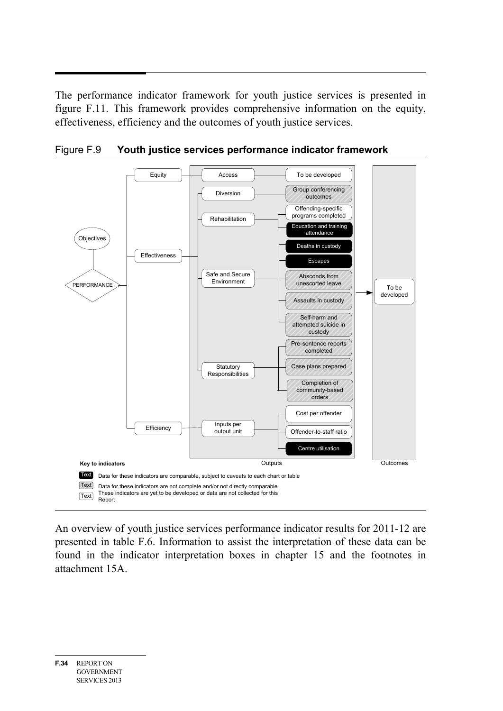The performance indicator framework for youth justice services is presented in figure F.11. This framework provides comprehensive information on the equity, effectiveness, efficiency and the outcomes of youth justice services.



Figure F.9 **Youth justice services performance indicator framework**

An overview of youth justice services performance indicator results for 2011-12 are presented in table F.6. Information to assist the interpretation of these data can be found in the indicator interpretation boxes in chapter 15 and the footnotes in attachment 15A.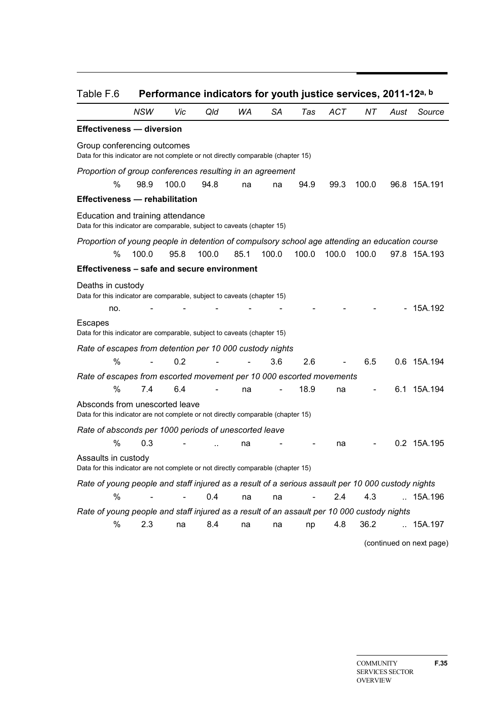| Table F.6                                                                                                          |                          |       | Performance indicators for youth justice services, 2011-12a, b |      |           |       |       |       |      |                          |
|--------------------------------------------------------------------------------------------------------------------|--------------------------|-------|----------------------------------------------------------------|------|-----------|-------|-------|-------|------|--------------------------|
|                                                                                                                    | NSW                      | Vic   | Qld                                                            | WA   | <b>SA</b> | Tas   | ACT   | ΝT    | Aust | Source                   |
| <b>Effectiveness - diversion</b>                                                                                   |                          |       |                                                                |      |           |       |       |       |      |                          |
| Group conferencing outcomes<br>Data for this indicator are not complete or not directly comparable (chapter 15)    |                          |       |                                                                |      |           |       |       |       |      |                          |
| Proportion of group conferences resulting in an agreement                                                          |                          |       |                                                                |      |           |       |       |       |      |                          |
| %                                                                                                                  | 98.9                     | 100.0 | 94.8                                                           | na   | na        | 94.9  | 99.3  | 100.0 |      | 96.8 15A.191             |
| <b>Effectiveness - rehabilitation</b>                                                                              |                          |       |                                                                |      |           |       |       |       |      |                          |
| Education and training attendance<br>Data for this indicator are comparable, subject to caveats (chapter 15)       |                          |       |                                                                |      |           |       |       |       |      |                          |
| Proportion of young people in detention of compulsory school age attending an education course                     |                          |       |                                                                |      |           |       |       |       |      |                          |
| %                                                                                                                  | 100.0                    | 95.8  | 100.0                                                          | 85.1 | 100.0     | 100.0 | 100.0 | 100.0 |      | 97.8 15A.193             |
| Effectiveness - safe and secure environment                                                                        |                          |       |                                                                |      |           |       |       |       |      |                          |
| Deaths in custody<br>Data for this indicator are comparable, subject to caveats (chapter 15)                       |                          |       |                                                                |      |           |       |       |       |      |                          |
| no.                                                                                                                |                          |       |                                                                |      |           |       |       |       |      | 15A.192                  |
| <b>Escapes</b><br>Data for this indicator are comparable, subject to caveats (chapter 15)                          |                          |       |                                                                |      |           |       |       |       |      |                          |
| Rate of escapes from detention per 10 000 custody nights                                                           |                          |       |                                                                |      |           |       |       |       |      |                          |
| %                                                                                                                  | $\overline{\phantom{a}}$ | 0.2   |                                                                |      | 3.6       | 2.6   |       | 6.5   |      | 0.6 15A.194              |
| Rate of escapes from escorted movement per 10 000 escorted movements                                               |                          |       |                                                                |      |           |       |       |       |      |                          |
| %                                                                                                                  | 7.4                      | 6.4   |                                                                | na   |           | 18.9  | na    |       |      | 6.1 15A.194              |
| Absconds from unescorted leave<br>Data for this indicator are not complete or not directly comparable (chapter 15) |                          |       |                                                                |      |           |       |       |       |      |                          |
| Rate of absconds per 1000 periods of unescorted leave                                                              |                          |       |                                                                |      |           |       |       |       |      |                          |
| %                                                                                                                  | 0.3                      |       |                                                                | na   |           |       | na    |       |      | 0.2 15A.195              |
| Assaults in custody<br>Data for this indicator are not complete or not directly comparable (chapter 15)            |                          |       |                                                                |      |           |       |       |       |      |                          |
| Rate of young people and staff injured as a result of a serious assault per 10 000 custody nights                  |                          |       |                                                                |      |           |       |       |       |      |                          |
| %                                                                                                                  |                          |       | 0.4                                                            | na   | na        |       | 2.4   | 4.3   |      | .15A.196                 |
| Rate of young people and staff injured as a result of an assault per 10 000 custody nights                         |                          |       |                                                                |      |           |       |       |       |      |                          |
| %                                                                                                                  | 2.3                      | na    | 8.4                                                            | na   | na        | np    | 4.8   | 36.2  |      | .15A.197                 |
|                                                                                                                    |                          |       |                                                                |      |           |       |       |       |      | (continued on next page) |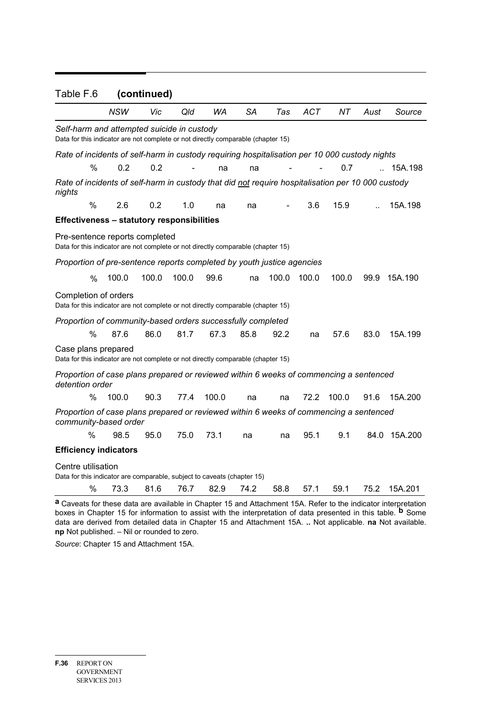| Table F.6                                                                                                                      |               |            | (continued) |       |       |           |       |            |       |        |                                                                                                                       |
|--------------------------------------------------------------------------------------------------------------------------------|---------------|------------|-------------|-------|-------|-----------|-------|------------|-------|--------|-----------------------------------------------------------------------------------------------------------------------|
|                                                                                                                                |               | <b>NSW</b> | Vic         | Qld   | WA    | <b>SA</b> | Tas   | <b>ACT</b> | NT    | Aust   | Source                                                                                                                |
| Self-harm and attempted suicide in custody<br>Data for this indicator are not complete or not directly comparable (chapter 15) |               |            |             |       |       |           |       |            |       |        |                                                                                                                       |
| Rate of incidents of self-harm in custody requiring hospitalisation per 10 000 custody nights                                  |               |            |             |       |       |           |       |            |       |        |                                                                                                                       |
|                                                                                                                                | %             | 0.2        | 0.2         |       | na    | na        |       |            | 0.7   | $\sim$ | 15A.198                                                                                                               |
| Rate of incidents of self-harm in custody that did not require hospitalisation per 10 000 custody<br>nights                    |               |            |             |       |       |           |       |            |       |        |                                                                                                                       |
|                                                                                                                                | %             | 2.6        | 0.2         | 1.0   | na    | na        |       | 3.6        | 15.9  |        | 15A.198                                                                                                               |
| <b>Effectiveness - statutory responsibilities</b>                                                                              |               |            |             |       |       |           |       |            |       |        |                                                                                                                       |
| Pre-sentence reports completed<br>Data for this indicator are not complete or not directly comparable (chapter 15)             |               |            |             |       |       |           |       |            |       |        |                                                                                                                       |
| Proportion of pre-sentence reports completed by youth justice agencies                                                         |               |            |             |       |       |           |       |            |       |        |                                                                                                                       |
|                                                                                                                                | $\frac{0}{0}$ | 100.0      | 100.0       | 100.0 | 99.6  | na        | 100.0 | 100.0      | 100.0 | 99.9   | 15A.190                                                                                                               |
| Completion of orders<br>Data for this indicator are not complete or not directly comparable (chapter 15)                       |               |            |             |       |       |           |       |            |       |        |                                                                                                                       |
| Proportion of community-based orders successfully completed                                                                    |               |            |             |       |       |           |       |            |       |        |                                                                                                                       |
|                                                                                                                                | %             | 87.6       | 86.0        | 81.7  | 67.3  | 85.8      | 92.2  | na         | 57.6  | 83.0   | 15A.199                                                                                                               |
| Case plans prepared<br>Data for this indicator are not complete or not directly comparable (chapter 15)                        |               |            |             |       |       |           |       |            |       |        |                                                                                                                       |
| Proportion of case plans prepared or reviewed within 6 weeks of commencing a sentenced<br>detention order                      |               |            |             |       |       |           |       |            |       |        |                                                                                                                       |
|                                                                                                                                | $\%$          | 100.0      | 90.3        | 77.4  | 100.0 | na        | na    | 72.2       | 100.0 | 91.6   | 15A.200                                                                                                               |
| Proportion of case plans prepared or reviewed within 6 weeks of commencing a sentenced<br>community-based order                |               |            |             |       |       |           |       |            |       |        |                                                                                                                       |
|                                                                                                                                | %             | 98.5       | 95.0        | 75.0  | 73.1  | na        | na    | 95.1       | 9.1   |        | 84.0 15A.200                                                                                                          |
| <b>Efficiency indicators</b>                                                                                                   |               |            |             |       |       |           |       |            |       |        |                                                                                                                       |
| Centre utilisation                                                                                                             |               |            |             |       |       |           |       |            |       |        |                                                                                                                       |
| Data for this indicator are comparable, subject to caveats (chapter 15)                                                        |               |            |             |       |       |           |       |            |       |        |                                                                                                                       |
|                                                                                                                                | %             | 73.3       | 81.6        | 76.7  | 82.9  | 74.2      | 58.8  | 57.1       | 59.1  | 75.2   | 15A.201                                                                                                               |
|                                                                                                                                |               |            |             |       |       |           |       |            |       |        | <b>a</b> Caveats for these data are available in Chapter 15 and Attachment 15A. Refer to the indicator interpretation |

**a** Caveats for these data are available in Chapter 15 and Attachment 15A. Refer to the indicator interpretation boxes in Chapter 15 for information to assist with the interpretation of data presented in this table. **b** Some data are derived from detailed data in Chapter 15 and Attachment 15A. **..** Not applicable. **na** Not available. **np** Not published. – Nil or rounded to zero.

*Source*: Chapter 15 and Attachment 15A.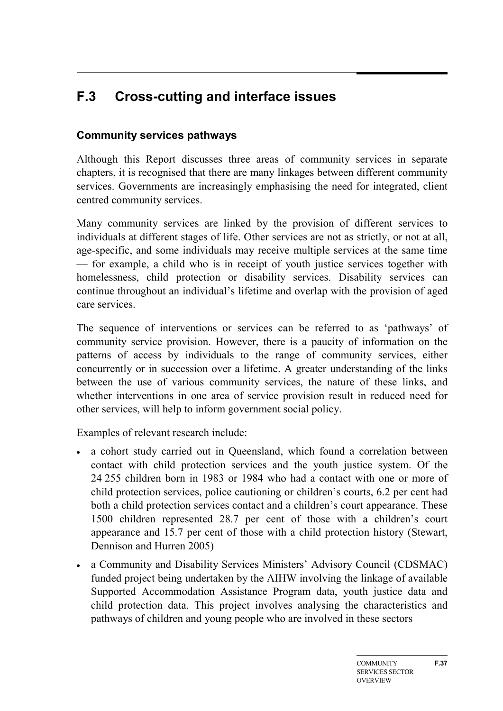# <span id="page-36-0"></span>**F.3 Cross-cutting and interface issues**

# **Community services pathways**

Although this Report discusses three areas of community services in separate chapters, it is recognised that there are many linkages between different community services. Governments are increasingly emphasising the need for integrated, client centred community services.

Many community services are linked by the provision of different services to individuals at different stages of life. Other services are not as strictly, or not at all, age-specific, and some individuals may receive multiple services at the same time — for example, a child who is in receipt of youth justice services together with homelessness, child protection or disability services. Disability services can continue throughout an individual's lifetime and overlap with the provision of aged care services.

The sequence of interventions or services can be referred to as 'pathways' of community service provision. However, there is a paucity of information on the patterns of access by individuals to the range of community services, either concurrently or in succession over a lifetime. A greater understanding of the links between the use of various community services, the nature of these links, and whether interventions in one area of service provision result in reduced need for other services, will help to inform government social policy.

Examples of relevant research include:

- a cohort study carried out in Queensland, which found a correlation between contact with child protection services and the youth justice system. Of the 24 255 children born in 1983 or 1984 who had a contact with one or more of child protection services, police cautioning or children's courts, 6.2 per cent had both a child protection services contact and a children's court appearance. These 1500 children represented 28.7 per cent of those with a children's court appearance and 15.7 per cent of those with a child protection history (Stewart, Dennison and Hurren 2005)
- a Community and Disability Services Ministers' Advisory Council (CDSMAC) funded project being undertaken by the AIHW involving the linkage of available Supported Accommodation Assistance Program data, youth justice data and child protection data. This project involves analysing the characteristics and pathways of children and young people who are involved in these sectors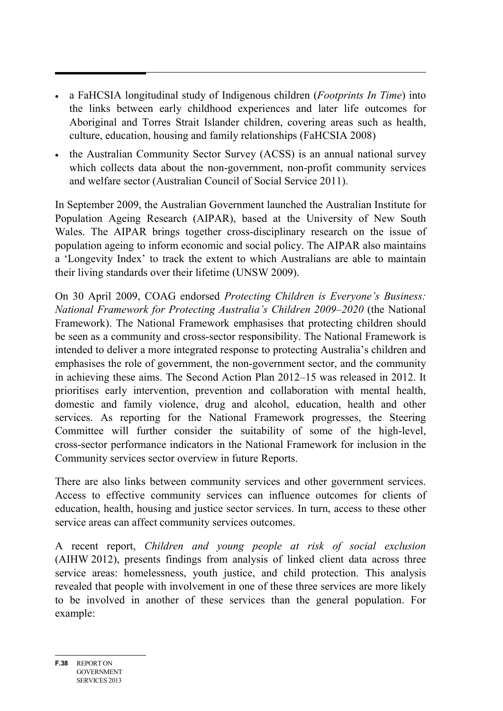- a FaHCSIA longitudinal study of Indigenous children (*Footprints In Time*) into the links between early childhood experiences and later life outcomes for Aboriginal and Torres Strait Islander children, covering areas such as health, culture, education, housing and family relationships (FaHCSIA 2008)
- the Australian Community Sector Survey (ACSS) is an annual national survey which collects data about the non-government, non-profit community services and welfare sector (Australian Council of Social Service 2011).

In September 2009, the Australian Government launched the Australian Institute for Population Ageing Research (AIPAR), based at the University of New South Wales. The AIPAR brings together cross-disciplinary research on the issue of population ageing to inform economic and social policy. The AIPAR also maintains a 'Longevity Index' to track the extent to which Australians are able to maintain their living standards over their lifetime (UNSW 2009).

On 30 April 2009, COAG endorsed *Protecting Children is Everyone's Business: National Framework for Protecting Australia's Children 2009–2020* (the National Framework). The National Framework emphasises that protecting children should be seen as a community and cross-sector responsibility. The National Framework is intended to deliver a more integrated response to protecting Australia's children and emphasises the role of government, the non-government sector, and the community in achieving these aims. The Second Action Plan 2012–15 was released in 2012. It prioritises early intervention, prevention and collaboration with mental health, domestic and family violence, drug and alcohol, education, health and other services. As reporting for the National Framework progresses, the Steering Committee will further consider the suitability of some of the high-level, cross-sector performance indicators in the National Framework for inclusion in the Community services sector overview in future Reports.

There are also links between community services and other government services. Access to effective community services can influence outcomes for clients of education, health, housing and justice sector services. In turn, access to these other service areas can affect community services outcomes.

A recent report, *Children and young people at risk of social exclusion* (AIHW 2012), presents findings from analysis of linked client data across three service areas: homelessness, youth justice, and child protection. This analysis revealed that people with involvement in one of these three services are more likely to be involved in another of these services than the general population. For example: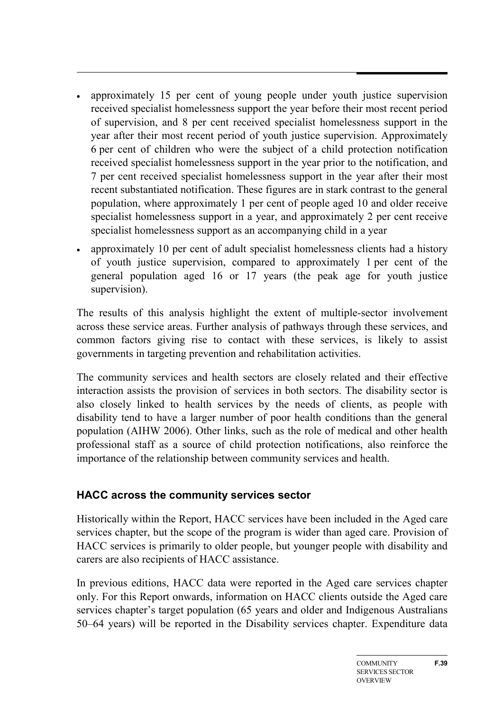- approximately 15 per cent of young people under youth justice supervision received specialist homelessness support the year before their most recent period of supervision, and 8 per cent received specialist homelessness support in the year after their most recent period of youth justice supervision. Approximately 6 per cent of children who were the subject of a child protection notification received specialist homelessness support in the year prior to the notification, and 7 per cent received specialist homelessness support in the year after their most recent substantiated notification. These figures are in stark contrast to the general population, where approximately 1 per cent of people aged 10 and older receive specialist homelessness support in a year, and approximately 2 per cent receive specialist homelessness support as an accompanying child in a year
- approximately 10 per cent of adult specialist homelessness clients had a history of youth justice supervision, compared to approximately 1 per cent of the general population aged 16 or 17 years (the peak age for youth justice supervision).

The results of this analysis highlight the extent of multiple-sector involvement across these service areas. Further analysis of pathways through these services, and common factors giving rise to contact with these services, is likely to assist governments in targeting prevention and rehabilitation activities.

The community services and health sectors are closely related and their effective interaction assists the provision of services in both sectors. The disability sector is also closely linked to health services by the needs of clients, as people with disability tend to have a larger number of poor health conditions than the general population (AIHW 2006). Other links, such as the role of medical and other health professional staff as a source of child protection notifications, also reinforce the importance of the relationship between community services and health.

# **HACC across the community services sector**

Historically within the Report, HACC services have been included in the Aged care services chapter, but the scope of the program is wider than aged care. Provision of HACC services is primarily to older people, but younger people with disability and carers are also recipients of HACC assistance.

In previous editions, HACC data were reported in the Aged care services chapter only. For this Report onwards, information on HACC clients outside the Aged care services chapter's target population (65 years and older and Indigenous Australians 50–64 years) will be reported in the Disability services chapter. Expenditure data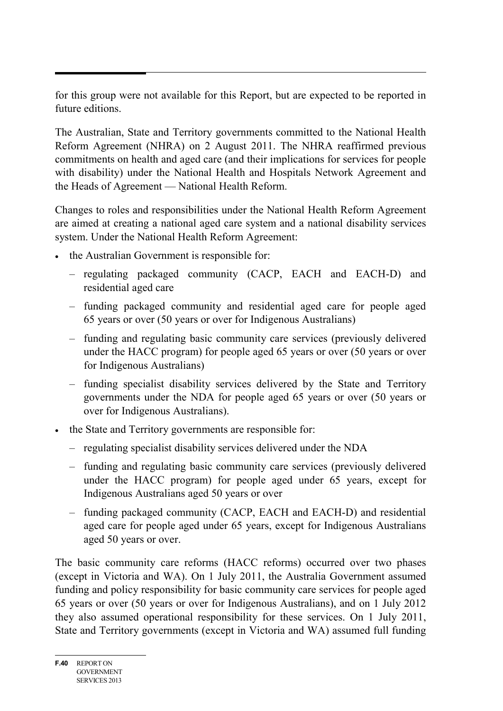for this group were not available for this Report, but are expected to be reported in future editions.

The Australian, State and Territory governments committed to the National Health Reform Agreement (NHRA) on 2 August 2011. The NHRA reaffirmed previous commitments on health and aged care (and their implications for services for people with disability) under the National Health and Hospitals Network Agreement and the Heads of Agreement — National Health Reform.

Changes to roles and responsibilities under the National Health Reform Agreement are aimed at creating a national aged care system and a national disability services system. Under the National Health Reform Agreement:

- the Australian Government is responsible for:
	- regulating packaged community (CACP, EACH and EACH-D) and residential aged care
	- funding packaged community and residential aged care for people aged 65 years or over (50 years or over for Indigenous Australians)
	- funding and regulating basic community care services (previously delivered under the HACC program) for people aged 65 years or over (50 years or over for Indigenous Australians)
	- funding specialist disability services delivered by the State and Territory governments under the NDA for people aged 65 years or over (50 years or over for Indigenous Australians).
- the State and Territory governments are responsible for:
	- regulating specialist disability services delivered under the NDA
	- funding and regulating basic community care services (previously delivered under the HACC program) for people aged under 65 years, except for Indigenous Australians aged 50 years or over
	- funding packaged community (CACP, EACH and EACH-D) and residential aged care for people aged under 65 years, except for Indigenous Australians aged 50 years or over.

The basic community care reforms (HACC reforms) occurred over two phases (except in Victoria and WA). On 1 July 2011, the Australia Government assumed funding and policy responsibility for basic community care services for people aged 65 years or over (50 years or over for Indigenous Australians), and on 1 July 2012 they also assumed operational responsibility for these services. On 1 July 2011, State and Territory governments (except in Victoria and WA) assumed full funding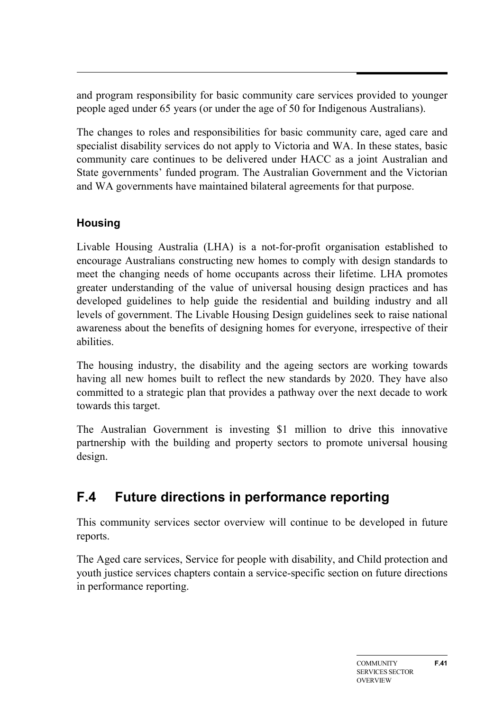and program responsibility for basic community care services provided to younger people aged under 65 years (or under the age of 50 for Indigenous Australians).

The changes to roles and responsibilities for basic community care, aged care and specialist disability services do not apply to Victoria and WA. In these states, basic community care continues to be delivered under HACC as a joint Australian and State governments' funded program. The Australian Government and the Victorian and WA governments have maintained bilateral agreements for that purpose.

# **Housing**

Livable Housing Australia (LHA) is a not-for-profit organisation established to encourage Australians constructing new homes to comply with design standards to meet the changing needs of home occupants across their lifetime. LHA promotes greater understanding of the value of universal housing design practices and has developed guidelines to help guide the residential and building industry and all levels of government. The Livable Housing Design guidelines seek to raise national awareness about the benefits of designing homes for everyone, irrespective of their abilities.

The housing industry, the disability and the ageing sectors are working towards having all new homes built to reflect the new standards by 2020. They have also committed to a strategic plan that provides a pathway over the next decade to work towards this target.

The Australian Government is investing \$1 million to drive this innovative partnership with the building and property sectors to promote universal housing design.

# <span id="page-40-0"></span>**F.4 Future directions in performance reporting**

This community services sector overview will continue to be developed in future reports.

The Aged care services, Service for people with disability, and Child protection and youth justice services chapters contain a service-specific section on future directions in performance reporting.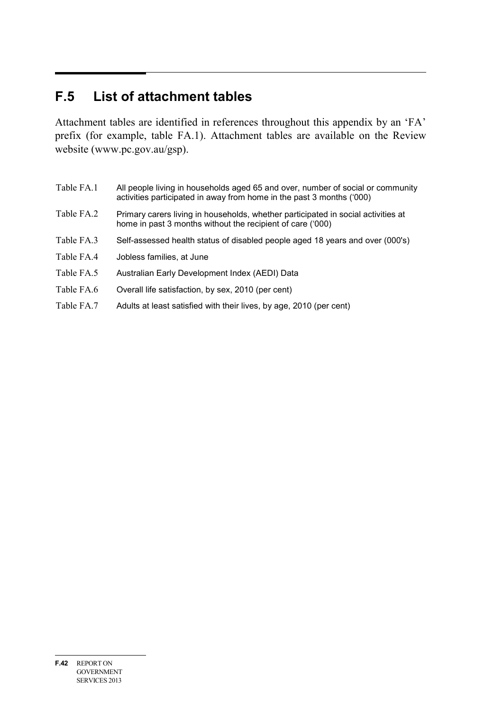# <span id="page-41-0"></span>**F.5 List of attachment tables**

Attachment tables are identified in references throughout this appendix by an 'FA' prefix (for example, table FA.1). Attachment tables are available on the Review website (www.pc.gov.au/gsp).

- Table FA.1 All people living in households aged 65 and over, number of social or community activities participated in away from home in the past 3 months ('000)
- Table FA.2 Primary carers living in households, whether participated in social activities at home in past 3 months without the recipient of care ('000)
- Table FA.3 Self-assessed health status of disabled people aged 18 years and over (000's)
- Table FA.4 Jobless families, at June
- Table FA.5 Australian Early Development Index (AEDI) Data
- Table FA.6 Overall life satisfaction, by sex, 2010 (per cent)
- Table FA.7 Adults at least satisfied with their lives, by age, 2010 (per cent)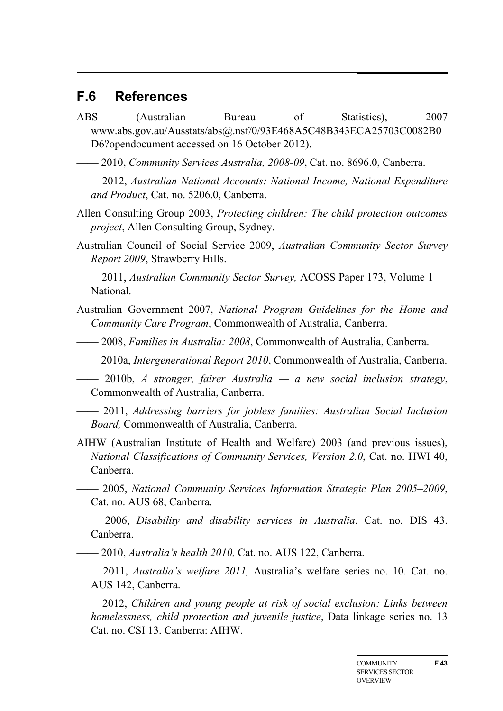# <span id="page-42-0"></span>**F.6 References**

- ABS (Australian Bureau of Statistics), 2007 www.abs.gov.au/Ausstats/abs@.nsf/0/93E468A5C48B343ECA25703C0082B0 D6?opendocument accessed on 16 October 2012).
- —— 2010, *Community Services Australia, 2008-09*, Cat. no. 8696.0, Canberra.
- —— 2012, *Australian National Accounts: National Income, National Expenditure and Product*, Cat. no. 5206.0, Canberra.
- Allen Consulting Group 2003, *Protecting children: The child protection outcomes project*, Allen Consulting Group, Sydney.
- Australian Council of Social Service 2009, *Australian Community Sector Survey Report 2009*, Strawberry Hills.
- —— 2011, *Australian Community Sector Survey,* ACOSS Paper 173, Volume 1 National.
- Australian Government 2007, *National Program Guidelines for the Home and Community Care Program*, Commonwealth of Australia, Canberra.
- —— 2008, *Families in Australia: 2008*, Commonwealth of Australia, Canberra.
- —— 2010a, *Intergenerational Report 2010*, Commonwealth of Australia, Canberra.
- —— 2010b, *A stronger, fairer Australia — a new social inclusion strategy*, Commonwealth of Australia, Canberra.
- —— 2011, *Addressing barriers for jobless families: Australian Social Inclusion Board,* Commonwealth of Australia, Canberra.
- AIHW (Australian Institute of Health and Welfare) 2003 (and previous issues), *National Classifications of Community Services, Version 2.0*, Cat. no. HWI 40, Canberra.
- —— 2005, *National Community Services Information Strategic Plan 2005–2009*, Cat. no. AUS 68, Canberra.
- —— 2006, *Disability and disability services in Australia*. Cat. no. DIS 43. Canberra.
- —— 2010, *Australia's health 2010,* Cat. no. AUS 122, Canberra.
- —— 2011, *Australia's welfare 2011,* Australia's welfare series no. 10. Cat. no. AUS 142, Canberra.
- —— 2012, *Children and young people at risk of social exclusion: Links between homelessness, child protection and juvenile justice*, Data linkage series no. 13 Cat. no. CSI 13. Canberra: AIHW.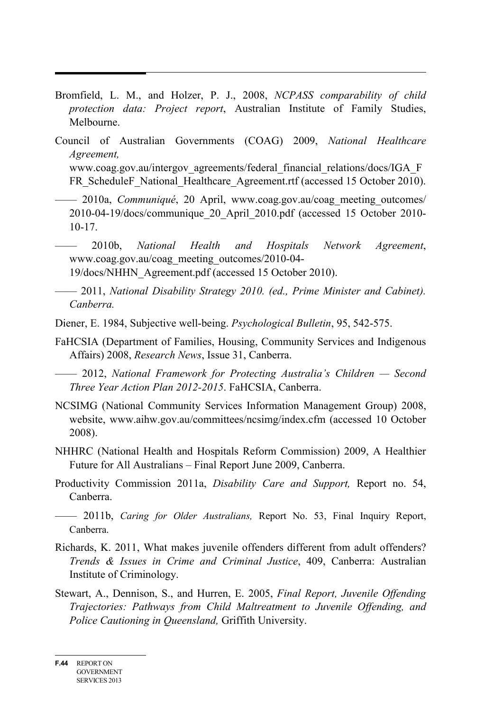- Bromfield, L. M., and Holzer, P. J., 2008, *NCPASS comparability of child protection data: Project report*, Australian Institute of Family Studies, Melbourne.
- Council of Australian Governments (COAG) 2009, *National Healthcare Agreement,*  www.coag.gov.au/intergov\_agreements/federal\_financial\_relations/docs/IGA\_F FR\_ScheduleF\_National\_Healthcare\_Agreement.rtf (accessed 15 October 2010).
	- —— 2010a, *Communiqué*, 20 April, www.coag.gov.au/coag\_meeting\_outcomes/ 2010-04-19/docs/communique\_20\_April\_2010.pdf (accessed 15 October 2010- 10-17.
	- —— 2010b, *National Health and Hospitals Network Agreement*, www.coag.gov.au/coag\_meeting\_outcomes/2010-04-

19/docs/NHHN\_Agreement.pdf (accessed 15 October 2010).

- —— 2011, *National Disability Strategy 2010. (ed., Prime Minister and Cabinet). Canberra.*
- Diener, E. 1984, Subjective well-being. *Psychological Bulletin*, 95, 542-575.
- FaHCSIA (Department of Families, Housing, Community Services and Indigenous Affairs) 2008, *Research News*, Issue 31, Canberra.

—— 2012, *National Framework for Protecting Australia's Children — Second Three Year Action Plan 2012-2015*. FaHCSIA, Canberra.

- NCSIMG (National Community Services Information Management Group) 2008, website, www.aihw.gov.au/committees/ncsimg/index.cfm (accessed 10 October 2008).
- NHHRC (National Health and Hospitals Reform Commission) 2009, A Healthier Future for All Australians – Final Report June 2009, Canberra.
- Productivity Commission 2011a, *Disability Care and Support,* Report no. 54, Canberra.
- —— 2011b, *Caring for Older Australians,* Report No. 53, Final Inquiry Report, Canberra.
- Richards, K. 2011, What makes juvenile offenders different from adult offenders? *Trends & Issues in Crime and Criminal Justice*, 409, Canberra: Australian Institute of Criminology.
- Stewart, A., Dennison, S., and Hurren, E. 2005, *Final Report, Juvenile Offending Trajectories: Pathways from Child Maltreatment to Juvenile Offending, and Police Cautioning in Queensland,* Griffith University.